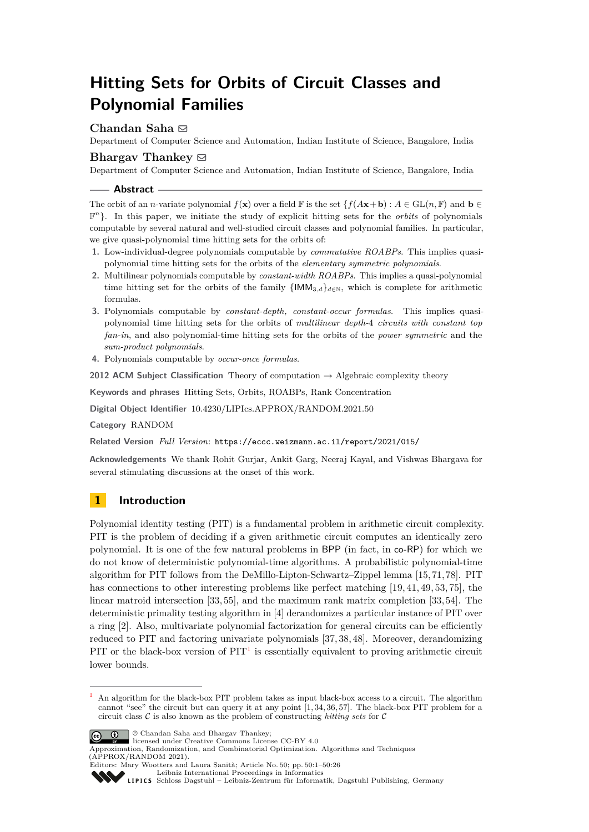# **Hitting Sets for Orbits of Circuit Classes and Polynomial Families**

# Chandan Saha **⊠**

Department of Computer Science and Automation, Indian Institute of Science, Bangalore, India

# **Bhargav Thankey**  $\boxtimes$

Department of Computer Science and Automation, Indian Institute of Science, Bangalore, India

### **Abstract**

The orbit of an *n*-variate polynomial  $f(\mathbf{x})$  over a field  $\mathbb{F}$  is the set  $\{f(A\mathbf{x}+\mathbf{b}) : A \in \text{GL}(n,\mathbb{F})\}$  and  $\mathbf{b} \in$ F *n* }. In this paper, we initiate the study of explicit hitting sets for the *orbits* of polynomials computable by several natural and well-studied circuit classes and polynomial families. In particular, we give quasi-polynomial time hitting sets for the orbits of:

- **1.** Low-individual-degree polynomials computable by *commutative ROABPs*. This implies quasipolynomial time hitting sets for the orbits of the *elementary symmetric polynomials*.
- **2.** Multilinear polynomials computable by *constant-width ROABPs*. This implies a quasi-polynomial time hitting set for the orbits of the family  $\{IMM_{3,d}\}_{d\in\mathbb{N}}$ , which is complete for arithmetic formulas.
- **3.** Polynomials computable by *constant-depth, constant-occur formulas*. This implies quasipolynomial time hitting sets for the orbits of *multilinear depth-*4 *circuits with constant top fan-in*, and also polynomial-time hitting sets for the orbits of the *power symmetric* and the *sum-product polynomials*.
- **4.** Polynomials computable by *occur-once formulas*.

**2012 ACM Subject Classification** Theory of computation → Algebraic complexity theory

**Keywords and phrases** Hitting Sets, Orbits, ROABPs, Rank Concentration

**Digital Object Identifier** [10.4230/LIPIcs.APPROX/RANDOM.2021.50](https://doi.org/10.4230/LIPIcs.APPROX/RANDOM.2021.50)

**Category** RANDOM

**Related Version** *Full Version*: <https://eccc.weizmann.ac.il/report/2021/015/>

**Acknowledgements** We thank Rohit Gurjar, Ankit Garg, Neeraj Kayal, and Vishwas Bhargava for several stimulating discussions at the onset of this work.

# **1 Introduction**

Polynomial identity testing (PIT) is a fundamental problem in arithmetic circuit complexity. PIT is the problem of deciding if a given arithmetic circuit computes an identically zero polynomial. It is one of the few natural problems in BPP (in fact, in co-RP) for which we do not know of deterministic polynomial-time algorithms. A probabilistic polynomial-time algorithm for PIT follows from the DeMillo-Lipton-Schwartz–Zippel lemma [\[15,](#page-16-0) [71,](#page-20-0) [78\]](#page-20-1). PIT has connections to other interesting problems like perfect matching [\[19,](#page-16-1) [41,](#page-18-0) [49,](#page-18-1) [53,](#page-18-2) [75\]](#page-20-2), the linear matroid intersection [\[33,](#page-17-0) [55\]](#page-19-0), and the maximum rank matrix completion [\[33,](#page-17-0) [54\]](#page-18-3). The deterministic primality testing algorithm in [\[4\]](#page-16-2) derandomizes a particular instance of PIT over a ring [\[2\]](#page-15-0). Also, multivariate polynomial factorization for general circuits can be efficiently reduced to PIT and factoring univariate polynomials [\[37,](#page-18-4) [38,](#page-18-5) [48\]](#page-18-6). Moreover, derandomizing PIT or the black-box version of  $PIT<sup>1</sup>$  $PIT<sup>1</sup>$  $PIT<sup>1</sup>$  is essentially equivalent to proving arithmetic circuit lower bounds.

<span id="page-0-0"></span><sup>1</sup> An algorithm for the black-box PIT problem takes as input black-box access to a circuit. The algorithm cannot "see" the circuit but can query it at any point [\[1,](#page-15-1) [34,](#page-17-1) [36,](#page-17-2) [57\]](#page-19-1). The black-box PIT problem for a circuit class C is also known as the problem of constructing *hitting sets* for C



© Chandan Saha and Bhargav Thankey;

Approximation, Randomization, and Combinatorial Optimization. Algorithms and Techniques (APPROX/RANDOM 2021). Editors: Mary Wootters and Laura Sanità; Article No. 50; pp. 50:1–50:26

licensed under Creative Commons License CC-BY 4.0

[Leibniz International Proceedings in Informatics](https://www.dagstuhl.de/lipics/)

[Schloss Dagstuhl – Leibniz-Zentrum für Informatik, Dagstuhl Publishing, Germany](https://www.dagstuhl.de)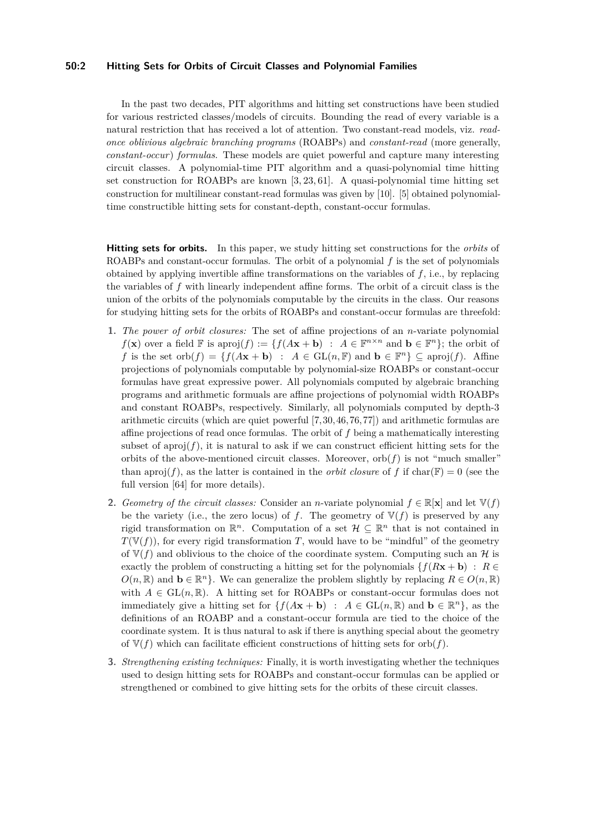### **50:2 Hitting Sets for Orbits of Circuit Classes and Polynomial Families**

In the past two decades, PIT algorithms and hitting set constructions have been studied for various restricted classes/models of circuits. Bounding the read of every variable is a natural restriction that has received a lot of attention. Two constant-read models, viz. *readonce oblivious algebraic branching programs* (ROABPs) and *constant-read* (more generally, *constant-occur*) *formulas*. These models are quiet powerful and capture many interesting circuit classes. A polynomial-time PIT algorithm and a quasi-polynomial time hitting set construction for ROABPs are known [\[3,](#page-15-2) [23,](#page-17-3) [61\]](#page-19-2). A quasi-polynomial time hitting set construction for multilinear constant-read formulas was given by [\[10\]](#page-16-3). [\[5\]](#page-16-4) obtained polynomialtime constructible hitting sets for constant-depth, constant-occur formulas.

**Hitting sets for orbits.** In this paper, we study hitting set constructions for the *orbits* of ROABPs and constant-occur formulas. The orbit of a polynomial *f* is the set of polynomials obtained by applying invertible affine transformations on the variables of *f*, i.e., by replacing the variables of *f* with linearly independent affine forms. The orbit of a circuit class is the union of the orbits of the polynomials computable by the circuits in the class. Our reasons for studying hitting sets for the orbits of ROABPs and constant-occur formulas are threefold:

- **1.** *The power of orbit closures:* The set of affine projections of an *n*-variate polynomial *f*(**x**) over a field  $\mathbb F$  is aproj(*f*) := { $f(A\mathbf{x} + \mathbf{b})$  :  $A \in \mathbb F^{n \times n}$  and  $\mathbf{b} \in \mathbb F^n$ }; the orbit of *f* is the set orb $(f) = \{f(A\mathbf{x} + \mathbf{b}) : A \in GL(n, \mathbb{F}) \text{ and } \mathbf{b} \in \mathbb{F}^n\} \subseteq \text{aproj}(f)$ . Affine projections of polynomials computable by polynomial-size ROABPs or constant-occur formulas have great expressive power. All polynomials computed by algebraic branching programs and arithmetic formuals are affine projections of polynomial width ROABPs and constant ROABPs, respectively. Similarly, all polynomials computed by depth-3 arithmetic circuits (which are quiet powerful [\[7,](#page-16-5) [30,](#page-17-4) [46,](#page-18-7) [76,](#page-20-3) [77\]](#page-20-4)) and arithmetic formulas are affine projections of read once formulas. The orbit of *f* being a mathematically interesting subset of aproj $(f)$ , it is natural to ask if we can construct efficient hitting sets for the orbits of the above-mentioned circuit classes. Moreover,  $orb(f)$  is not "much smaller" than aproj( $f$ ), as the latter is contained in the *orbit closure* of f if char( $\mathbb{F}$ ) = 0 (see the full version [\[64\]](#page-19-3) for more details).
- **2.** *Geometry of the circuit classes:* Consider an *n*-variate polynomial  $f \in \mathbb{R}[\mathbf{x}]$  and let  $\mathbb{V}(f)$ be the variety (i.e., the zero locus) of  $f$ . The geometry of  $\mathbb{V}(f)$  is preserved by any rigid transformation on  $\mathbb{R}^n$ . Computation of a set  $\mathcal{H} \subseteq \mathbb{R}^n$  that is not contained in  $T(\mathbb{V}(f))$ , for every rigid transformation *T*, would have to be "mindful" of the geometry of  $V(f)$  and oblivious to the choice of the coordinate system. Computing such an H is exactly the problem of constructing a hitting set for the polynomials  ${f(Rx + b) : R \in \mathbb{R}^2}$  $O(n, \mathbb{R})$  and  $\mathbf{b} \in \mathbb{R}^n$ . We can generalize the problem slightly by replacing  $R \in O(n, \mathbb{R})$ with  $A \in GL(n, \mathbb{R})$ . A hitting set for ROABPs or constant-occur formulas does not immediately give a hitting set for  $\{f(A\mathbf{x} + \mathbf{b}) : A \in GL(n, \mathbb{R}) \text{ and } \mathbf{b} \in \mathbb{R}^n\}$ , as the definitions of an ROABP and a constant-occur formula are tied to the choice of the coordinate system. It is thus natural to ask if there is anything special about the geometry of  $V(f)$  which can facilitate efficient constructions of hitting sets for orb $(f)$ .
- **3.** *Strengthening existing techniques:* Finally, it is worth investigating whether the techniques used to design hitting sets for ROABPs and constant-occur formulas can be applied or strengthened or combined to give hitting sets for the orbits of these circuit classes.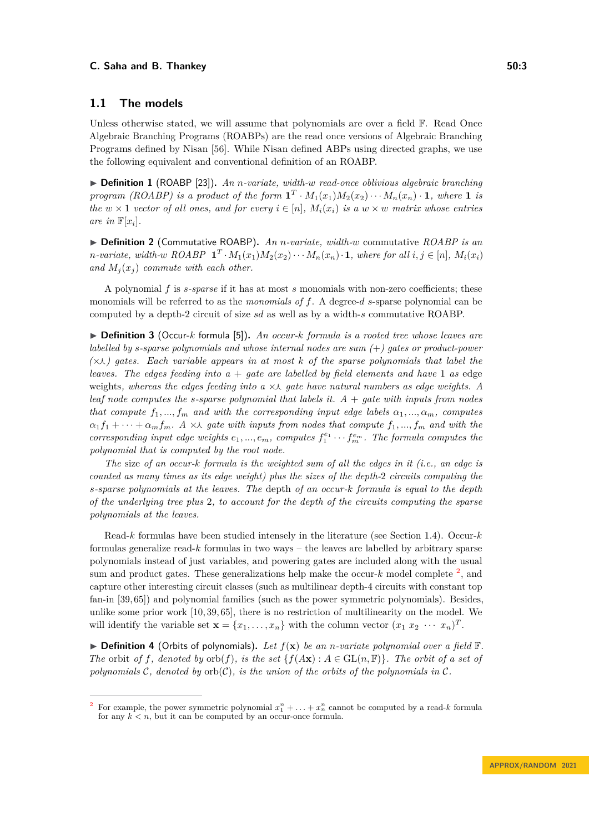### **1.1 The models**

Unless otherwise stated, we will assume that polynomials are over a field  $\mathbb{F}$ . Read Once Algebraic Branching Programs (ROABPs) are the read once versions of Algebraic Branching Programs defined by Nisan [\[56\]](#page-19-4). While Nisan defined ABPs using directed graphs, we use the following equivalent and conventional definition of an ROABP.

▶ **Definition 1** (ROABP [\[23\]](#page-17-3))**.** *An n-variate, width-w read-once oblivious algebraic branching program (ROABP) is a product of the form*  $\mathbf{1}^T \cdot M_1(x_1)M_2(x_2)\cdots M_n(x_n) \cdot \mathbf{1}$ *, where* **1** *is the*  $w \times 1$  *vector of all ones, and for every*  $i \in [n]$ ,  $M_i(x_i)$  *is a*  $w \times w$  *matrix whose entries are in*  $\mathbb{F}[x_i]$ *.* 

▶ **Definition 2** (Commutative ROABP)**.** *An n-variate, width-w* commutative *ROABP is an n*-variate, width-w ROABP  $\mathbf{1}^T \cdot M_1(x_1)M_2(x_2) \cdots M_n(x_n) \cdot \mathbf{1}$ , where for all  $i, j \in [n]$ ,  $M_i(x_i)$ *and*  $M_i(x_i)$  *commute with each other.* 

A polynomial *f* is *s-sparse* if it has at most *s* monomials with non-zero coefficients; these monomials will be referred to as the *monomials of* f. A degree-d s-sparse polynomial can be computed by a depth-2 circuit of size *sd* as well as by a width-*s* commutative ROABP.

▶ **Definition 3** (Occur-*k* formula [\[5\]](#page-16-4))**.** *An occur-k formula is a rooted tree whose leaves are labelled by s-sparse polynomials and whose internal nodes are sum (*+*) gates or product-power (*×⋏*) gates. Each variable appears in at most k of the sparse polynomials that label the leaves. The edges feeding into a* + *gate are labelled by field elements and have* 1 *as* edge weights, whereas the edges feeding into a ×∧ gate have natural numbers as edge weights. A *leaf node computes the s-sparse polynomial that labels it. A* + *gate with inputs from nodes that compute*  $f_1, ..., f_m$  *and with the corresponding input edge labels*  $\alpha_1, ..., \alpha_m$ *, computes*  $\alpha_1 f_1 + \cdots + \alpha_m f_m$ *.* A × *A* gate with inputs from nodes that compute  $f_1, ..., f_m$  and with the *corresponding input edge weights*  $e_1, ..., e_m$ *, computes*  $f_1^{e_1} \cdots f_m^{e_m}$ *. The formula computes the polynomial that is computed by the root node.*

*The* size *of an occur-k formula is the weighted sum of all the edges in it (i.e., an edge is counted as many times as its edge weight) plus the sizes of the depth-*2 *circuits computing the s-sparse polynomials at the leaves. The* depth *of an occur-k formula is equal to the depth of the underlying tree plus* 2*, to account for the depth of the circuits computing the sparse polynomials at the leaves.*

Read-*k* formulas have been studied intensely in the literature (see Section [1.4\)](#page-6-0). Occur-*k* formulas generalize read-*k* formulas in two ways – the leaves are labelled by arbitrary sparse polynomials instead of just variables, and powering gates are included along with the usual sum and product gates. These generalizations help make the occur- $k$  model complete  $2$ , and capture other interesting circuit classes (such as multilinear depth-4 circuits with constant top fan-in [\[39,](#page-18-8) [65\]](#page-19-5)) and polynomial families (such as the power symmetric polynomials). Besides, unlike some prior work [\[10,](#page-16-3) [39,](#page-18-8) [65\]](#page-19-5), there is no restriction of multilinearity on the model. We will identify the variable set  $\mathbf{x} = \{x_1, \ldots, x_n\}$  with the column vector  $(x_1 \ x_2 \ \cdots \ x_n)^T$ .

 $\blacktriangleright$  **Definition 4** (Orbits of polynomials). Let  $f(\mathbf{x})$  be an *n*-variate polynomial over a field  $\mathbb{F}$ . *The* orbit *of f, denoted by*  $orb(f)$ *, is the set*  $\{f(A\mathbf{x}) : A \in GL(n, \mathbb{F})\}$ *. The orbit of a set of polynomials* C*, denoted by* orb(C)*, is the union of the orbits of the polynomials in* C*.*

<span id="page-2-0"></span><sup>&</sup>lt;sup>2</sup> For example, the power symmetric polynomial  $x_1^n + \ldots + x_n^n$  cannot be computed by a read-*k* formula for any  $k < n$ , but it can be computed by an occur-once formula.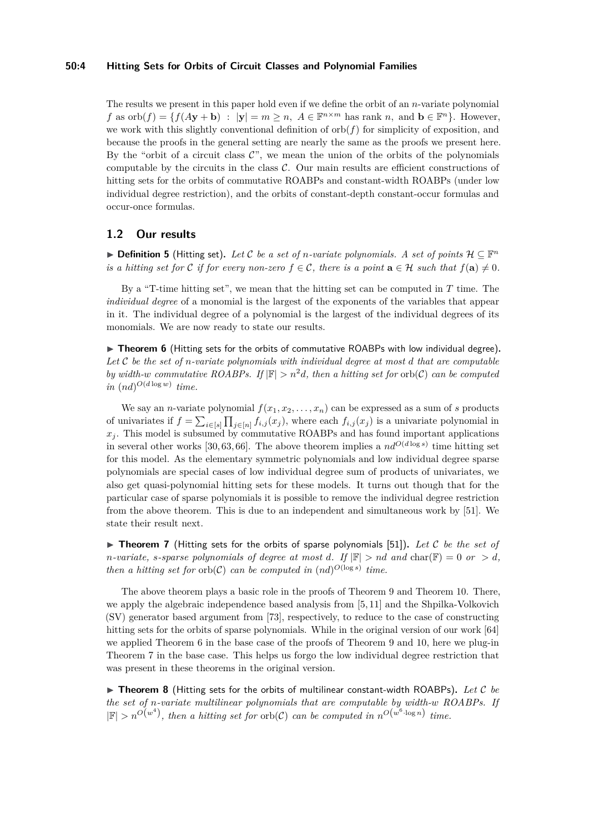#### **50:4 Hitting Sets for Orbits of Circuit Classes and Polynomial Families**

The results we present in this paper hold even if we define the orbit of an *n*-variate polynomial *f* as  $orb(f) = \{f(A\mathbf{y} + \mathbf{b}) : |\mathbf{y}| = m \ge n, A \in \mathbb{F}^{n \times m} \text{ has rank } n, \text{ and } \mathbf{b} \in \mathbb{F}^n\}.$  However, we work with this slightly conventional definition of  $orb(f)$  for simplicity of exposition, and because the proofs in the general setting are nearly the same as the proofs we present here. By the "orbit of a circuit class  $\mathcal{C}$ ", we mean the union of the orbits of the polynomials computable by the circuits in the class  $C$ . Our main results are efficient constructions of hitting sets for the orbits of commutative ROABPs and constant-width ROABPs (under low individual degree restriction), and the orbits of constant-depth constant-occur formulas and occur-once formulas.

### **1.2 Our results**

▶ **Definition 5** (Hitting set). Let C be a set of *n-variate polynomials. A set of points*  $\mathcal{H} \subseteq \mathbb{F}^n$ *is a hitting set for* C *if for every non-zero*  $f \in \mathcal{C}$ , there *is a point*  $\mathbf{a} \in \mathcal{H}$  *such that*  $f(\mathbf{a}) \neq 0$ .

By a "T-time hitting set", we mean that the hitting set can be computed in *T* time. The *individual degree* of a monomial is the largest of the exponents of the variables that appear in it. The individual degree of a polynomial is the largest of the individual degrees of its monomials. We are now ready to state our results.

<span id="page-3-0"></span>▶ **Theorem 6** (Hitting sets for the orbits of commutative ROABPs with low individual degree). *Let* C *be the set of n-variate polynomials with individual degree at most d that are computable by width-w commutative ROABPs. If*  $|\mathbb{F}| > n^2d$ *, then a hitting set for* orb(C) *can be computed*  $in (nd)^{O(d \log w)}$  *time.* 

We say an *n*-variate polynomial  $f(x_1, x_2, \ldots, x_n)$  can be expressed as a sum of *s* products of univariates if  $f = \sum_{i \in [s]} \prod_{j \in [n]} f_{i,j}(x_j)$ , where each  $f_{i,j}(x_j)$  is a univariate polynomial in  $x_j$ . This model is subsumed by commutative ROABPs and has found important applications in several other works [\[30,](#page-17-4) [63,](#page-19-6) [66\]](#page-19-7). The above theorem implies a  $nd^{O(d \log s)}$  time hitting set for this model. As the elementary symmetric polynomials and low individual degree sparse polynomials are special cases of low individual degree sum of products of univariates, we also get quasi-polynomial hitting sets for these models. It turns out though that for the particular case of sparse polynomials it is possible to remove the individual degree restriction from the above theorem. This is due to an independent and simultaneous work by [\[51\]](#page-18-9). We state their result next.

<span id="page-3-1"></span>▶ **Theorem 7** (Hitting sets for the orbits of sparse polynomials [\[51\]](#page-18-9))**.** *Let* C *be the set of n*-variate, *s*-sparse polynomials of degree at most *d*. If  $|\mathbb{F}| > nd$  and  $char(\mathbb{F}) = 0$  or  $> d$ , *then a hitting set for* orb $(C)$  *can be computed in*  $(nd)^{O(\log s)}$  *time.* 

The above theorem plays a basic role in the proofs of Theorem [9](#page-4-0) and Theorem [10.](#page-4-1) There, we apply the algebraic independence based analysis from [\[5,](#page-16-4) [11\]](#page-16-6) and the Shpilka-Volkovich (SV) generator based argument from [\[73\]](#page-20-5), respectively, to reduce to the case of constructing hitting sets for the orbits of sparse polynomials. While in the original version of our work [\[64\]](#page-19-3) we applied Theorem [6](#page-3-0) in the base case of the proofs of Theorem [9](#page-4-0) and [10,](#page-4-1) here we plug-in Theorem [7](#page-3-1) in the base case. This helps us forgo the low individual degree restriction that was present in these theorems in the original version.

<span id="page-3-2"></span>▶ **Theorem 8** (Hitting sets for the orbits of multilinear constant-width ROABPs)**.** *Let* C *be the set of n-variate multilinear polynomials that are computable by width-w ROABPs. If*  $|\mathbb{F}| > n^{O(w^4)}$ , then a hitting set for orb(C) can be computed in  $n^{O(w^6 \cdot \log n)}$  time.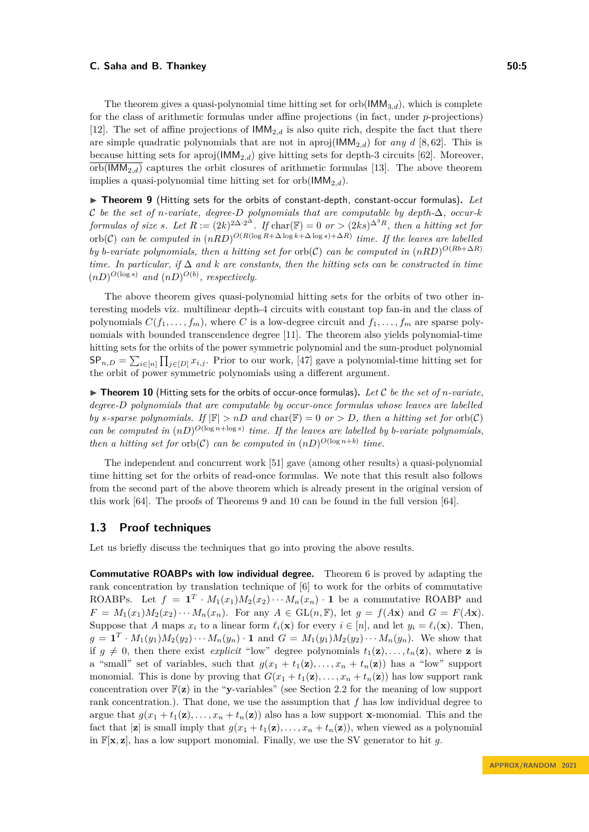The theorem gives a quasi-polynomial time hitting set for  $orb(\text{IMM}_{3,d})$ , which is complete for the class of arithmetic formulas under affine projections (in fact, under *p*-projections) [\[12\]](#page-16-7). The set of affine projections of  $IMM_{2,d}$  is also quite rich, despite the fact that there are simple quadratic polynomials that are not in aproj( $\text{IMM}_{2,d}$ ) for *any d* [\[8,](#page-16-8) [62\]](#page-19-8). This is because hitting sets for aproj(IMM2*,d*) give hitting sets for depth-3 circuits [\[62\]](#page-19-8). Moreover,  $\text{orb}(\text{IMM}_{2,d})$  captures the orbit closures of arithmetic formulas [\[13\]](#page-16-9). The above theorem implies a quasi-polynomial time hitting set for  $orb(\text{IMM}_{2,d})$ .

<span id="page-4-0"></span>▶ **Theorem 9** (Hitting sets for the orbits of constant-depth, constant-occur formulas)**.** *Let* C *be the set of n-variate, degree-D polynomials that are computable by depth-*∆*, occur-k formulas of size s.* Let  $R := (2k)^{2\Delta \cdot 2^{\Delta}}$ . If  $char(\mathbb{F}) = 0$  *or*  $>(2ks)^{\Delta^3 R}$ *, then a hitting set for*  $\int_{\mathcal{C}}^{\mathcal{C}} f(x) \cdot (x) \, dx$  be computed in  $(nRD)^{O(R(\log R + \Delta \log k + \Delta \log s) + \Delta R)}$  time. If the leaves are labelled *by b*-variate polynomials, then a hitting set for orb(C) can be computed in  $(nRD)^{O(Rb+\Delta R)}$ *time. In particular, if* ∆ *and k are constants, then the hitting sets can be constructed in time*  $(nD)^{O(\log s)}$  *and*  $(nD)^{O(b)}$ *, respectively.* 

The above theorem gives quasi-polynomial hitting sets for the orbits of two other interesting models viz. multilinear depth-4 circuits with constant top fan-in and the class of polynomials  $C(f_1, \ldots, f_m)$ , where C is a low-degree circuit and  $f_1, \ldots, f_m$  are sparse polynomials with bounded transcendence degree [\[11\]](#page-16-6). The theorem also yields polynomial-time hitting sets for the orbits of the power symmetric polynomial and the sum-product polynomial  $\mathsf{SP}_{n,D} = \sum_{i \in [n]} \prod_{j \in [D]} x_{i,j}$ . Prior to our work, [\[47\]](#page-18-10) gave a polynomial-time hitting set for the orbit of power symmetric polynomials using a different argument.

<span id="page-4-1"></span> $\blacktriangleright$  **Theorem 10** (Hitting sets for the orbits of occur-once formulas). Let C be the set of *n*-variate, *degree-D polynomials that are computable by occur-once formulas whose leaves are labelled by s*-sparse polynomials. If  $|\mathbb{F}| > nD$  and  $char(\mathbb{F}) = 0$  or  $> D$ , then a hitting set for orb(C) *can be computed in*  $(nD)^{O(\log n + \log s)}$  *time. If the leaves are labelled by b-variate polynomials, then a hitting set for* orb(C) *can be computed in*  $(nD)^{O(\log n+b)}$  *time.* 

The independent and concurrent work [\[51\]](#page-18-9) gave (among other results) a quasi-polynomial time hitting set for the orbits of read-once formulas. We note that this result also follows from the second part of the above theorem which is already present in the original version of this work [\[64\]](#page-19-3). The proofs of Theorems [9](#page-4-0) and [10](#page-4-1) can be found in the full version [\[64\]](#page-19-3).

### **1.3 Proof techniques**

Let us briefly discuss the techniques that go into proving the above results.

**Commutative ROABPs with low individual degree.** Theorem [6](#page-3-0) is proved by adapting the rank concentration by translation technique of [\[6\]](#page-16-10) to work for the orbits of commutative ROABPs. Let  $f = \mathbf{1}^T \cdot M_1(x_1)M_2(x_2)\cdots M_n(x_n) \cdot \mathbf{1}$  be a commutative ROABP and  $F = M_1(x_1)M_2(x_2)\cdots M_n(x_n)$ . For any  $A \in GL(n, \mathbb{F})$ , let  $g = f(A\mathbf{x})$  and  $G = F(A\mathbf{x})$ . Suppose that *A* maps  $x_i$  to a linear form  $\ell_i(\mathbf{x})$  for every  $i \in [n]$ , and let  $y_i = \ell_i(\mathbf{x})$ . Then,  $g = \mathbf{1}^T \cdot M_1(y_1) M_2(y_2) \cdots M_n(y_n) \cdot \mathbf{1}$  and  $G = M_1(y_1) M_2(y_2) \cdots M_n(y_n)$ . We show that if  $g \neq 0$ , then there exist *explicit* "low" degree polynomials  $t_1(\mathbf{z}), \ldots, t_n(\mathbf{z})$ , where **z** is a "small" set of variables, such that  $g(x_1 + t_1(\mathbf{z}), \ldots, x_n + t_n(\mathbf{z}))$  has a "low" support monomial. This is done by proving that  $G(x_1 + t_1(\mathbf{z}), \ldots, x_n + t_n(\mathbf{z}))$  has low support rank concentration over F(**z**) in the "**y**-variables" (see Section [2.2](#page-8-0) for the meaning of low support rank concentration.). That done, we use the assumption that *f* has low individual degree to argue that  $g(x_1 + t_1(\mathbf{z}), \ldots, x_n + t_n(\mathbf{z}))$  also has a low support **x**-monomial. This and the fact that  $|\mathbf{z}|$  is small imply that  $g(x_1 + t_1(\mathbf{z}), \ldots, x_n + t_n(\mathbf{z}))$ , when viewed as a polynomial in  $\mathbb{F}[\mathbf{x}, \mathbf{z}]$ , has a low support monomial. Finally, we use the SV generator to hit g.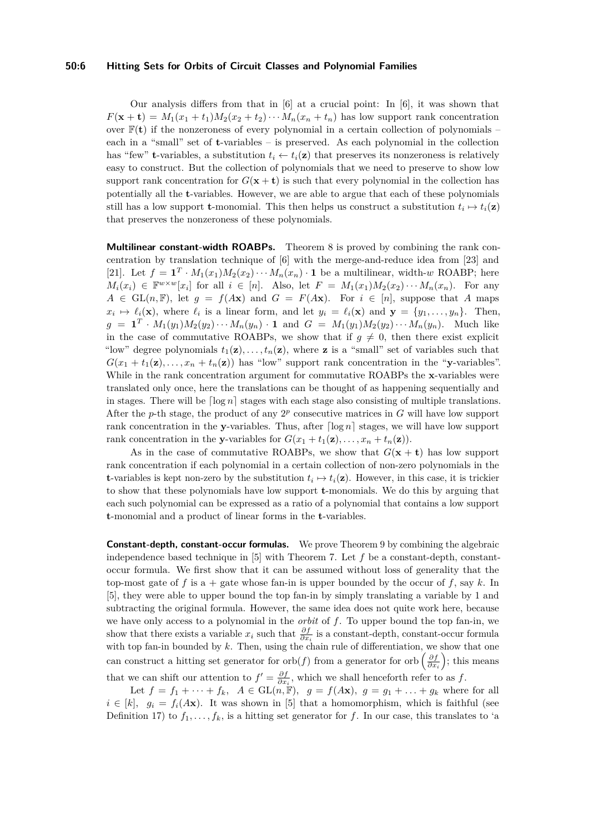#### **50:6 Hitting Sets for Orbits of Circuit Classes and Polynomial Families**

Our analysis differs from that in [\[6\]](#page-16-10) at a crucial point: In [\[6\]](#page-16-10), it was shown that  $F(\mathbf{x} + \mathbf{t}) = M_1(x_1 + t_1)M_2(x_2 + t_2)\cdots M_n(x_n + t_n)$  has low support rank concentration over  $\mathbb{F}(\mathbf{t})$  if the nonzeroness of every polynomial in a certain collection of polynomials – each in a "small" set of **t**-variables – is preserved. As each polynomial in the collection has "few" **t**-variables, a substitution  $t_i \leftarrow t_i(\mathbf{z})$  that preserves its nonzeroness is relatively easy to construct. But the collection of polynomials that we need to preserve to show low support rank concentration for  $G(x + t)$  is such that every polynomial in the collection has potentially all the **t**-variables. However, we are able to argue that each of these polynomials still has a low support **t**-monomial. This then helps us construct a substitution  $t_i \mapsto t_i(\mathbf{z})$ that preserves the nonzeroness of these polynomials.

**Multilinear constant-width ROABPs.** Theorem [8](#page-3-2) is proved by combining the rank concentration by translation technique of [\[6\]](#page-16-10) with the merge-and-reduce idea from [\[23\]](#page-17-3) and [\[21\]](#page-17-5). Let  $f = \mathbf{1}^T \cdot M_1(x_1)M_2(x_2)\cdots M_n(x_n) \cdot \mathbf{1}$  be a multilinear, width-*w* ROABP; here  $M_i(x_i) \in \mathbb{F}^{w \times w}[x_i]$  for all  $i \in [n]$ . Also, let  $F = M_1(x_1)M_2(x_2)\cdots M_n(x_n)$ . For any  $A \in GL(n, \mathbb{F})$ , let  $g = f(Ax)$  and  $G = F(Ax)$ . For  $i \in [n]$ , suppose that *A* maps  $x_i \mapsto \ell_i(\mathbf{x})$ , where  $\ell_i$  is a linear form, and let  $y_i = \ell_i(\mathbf{x})$  and  $\mathbf{y} = \{y_1, \ldots, y_n\}$ . Then,  $g = \mathbf{1}^T \cdot M_1(y_1) M_2(y_2) \cdots M_n(y_n) \cdot \mathbf{1}$  and  $G = M_1(y_1) M_2(y_2) \cdots M_n(y_n)$ . Much like in the case of commutative ROABPs, we show that if  $g \neq 0$ , then there exist explicit "low" degree polynomials  $t_1(\mathbf{z}), \ldots, t_n(\mathbf{z})$ , where **z** is a "small" set of variables such that  $G(x_1 + t_1(\mathbf{z}), \ldots, x_n + t_n(\mathbf{z}))$  has "low" support rank concentration in the "**y**-variables". While in the rank concentration argument for commutative ROABPs the **x**-variables were translated only once, here the translations can be thought of as happening sequentially and in stages. There will be  $\lceil \log n \rceil$  stages with each stage also consisting of multiple translations. After the *p*-th stage, the product of any  $2^p$  consecutive matrices in  $G$  will have low support rank concentration in the **y**-variables. Thus, after  $\lceil \log n \rceil$  stages, we will have low support rank concentration in the **y**-variables for  $G(x_1 + t_1(\mathbf{z}), \ldots, x_n + t_n(\mathbf{z}))$ .

As in the case of commutative ROABPs, we show that  $G(\mathbf{x} + \mathbf{t})$  has low support rank concentration if each polynomial in a certain collection of non-zero polynomials in the **t**-variables is kept non-zero by the substitution  $t_i \mapsto t_i(\mathbf{z})$ . However, in this case, it is trickier to show that these polynomials have low support **t**-monomials. We do this by arguing that each such polynomial can be expressed as a ratio of a polynomial that contains a low support **t**-monomial and a product of linear forms in the **t**-variables.

**Constant-depth, constant-occur formulas.** We prove Theorem [9](#page-4-0) by combining the algebraic independence based technique in  $[5]$  with Theorem [7.](#page-3-1) Let  $f$  be a constant-depth, constantoccur formula. We first show that it can be assumed without loss of generality that the top-most gate of f is a + gate whose fan-in is upper bounded by the occur of f, say  $k$ . In [\[5\]](#page-16-4), they were able to upper bound the top fan-in by simply translating a variable by 1 and subtracting the original formula. However, the same idea does not quite work here, because we have only access to a polynomial in the *orbit* of *f*. To upper bound the top fan-in, we show that there exists a variable  $x_i$  such that  $\frac{\partial f}{\partial x_i}$  is a constant-depth, constant-occur formula with top fan-in bounded by *k*. Then, using the chain rule of differentiation, we show that one can construct a hitting set generator for orb $(f)$  from a generator for orb  $\left(\frac{\partial f}{\partial x_i}\right)$ ; this means that we can shift our attention to  $f' = \frac{\partial f}{\partial x_i}$ , which we shall henceforth refer to as f.

Let  $f = f_1 + \cdots + f_k$ ,  $A \in GL(n, \mathbb{F})$ ,  $g = f(Ax)$ ,  $g = g_1 + \ldots + g_k$  where for all  $i \in [k]$ ,  $g_i = f_i(A\mathbf{x})$ . It was shown in [\[5\]](#page-16-4) that a homomorphism, which is faithful (see Definition [17\)](#page-9-0) to  $f_1, \ldots, f_k$ , is a hitting set generator for f. In our case, this translates to 'a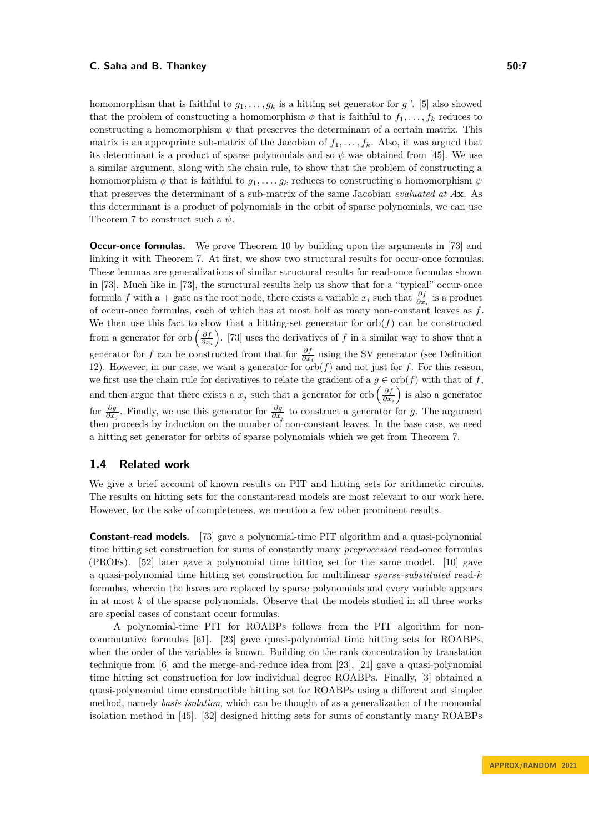homomorphism that is faithful to  $g_1, \ldots, g_k$  is a hitting set generator for  $g'$ . [\[5\]](#page-16-4) also showed that the problem of constructing a homomorphism  $\phi$  that is faithful to  $f_1, \ldots, f_k$  reduces to constructing a homomorphism  $\psi$  that preserves the determinant of a certain matrix. This matrix is an appropriate sub-matrix of the Jacobian of  $f_1, \ldots, f_k$ . Also, it was argued that its determinant is a product of sparse polynomials and so  $\psi$  was obtained from [\[45\]](#page-18-11). We use a similar argument, along with the chain rule, to show that the problem of constructing a homomorphism  $\phi$  that is faithful to  $g_1, \ldots, g_k$  reduces to constructing a homomorphism  $\psi$ that preserves the determinant of a sub-matrix of the same Jacobian *evaluated at A***x**. As this determinant is a product of polynomials in the orbit of sparse polynomials, we can use Theorem [7](#page-3-1) to construct such a *ψ*.

**Occur-once formulas.** We prove Theorem [10](#page-4-1) by building upon the arguments in [\[73\]](#page-20-5) and linking it with Theorem [7.](#page-3-1) At first, we show two structural results for occur-once formulas. These lemmas are generalizations of similar structural results for read-once formulas shown in [\[73\]](#page-20-5). Much like in [\[73\]](#page-20-5), the structural results help us show that for a "typical" occur-once formula *f* with a + gate as the root node, there exists a variable  $x_i$  such that  $\frac{\partial f}{\partial x_i}$  is a product of occur-once formulas, each of which has at most half as many non-constant leaves as *f*. We then use this fact to show that a hitting-set generator for  $orb(f)$  can be constructed from a generator for orb  $\left(\frac{\partial f}{\partial x_i}\right)$ . [\[73\]](#page-20-5) uses the derivatives of *f* in a similar way to show that a generator for *f* can be constructed from that for  $\frac{\partial f}{\partial x_i}$  using the SV generator (see Definition [12\)](#page-8-1). However, in our case, we want a generator for  $\overline{\text{orb}}(f)$  and not just for *f*. For this reason, we first use the chain rule for derivatives to relate the gradient of a  $q \in \text{orb}(f)$  with that of f, and then argue that there exists a  $x_j$  such that a generator for orb  $\left(\frac{\partial f}{\partial x_i}\right)$  is also a generator for  $\frac{\partial g}{\partial x_j}$ . Finally, we use this generator for  $\frac{\partial g}{\partial x_j}$  to construct a generator for *g*. The argument then proceeds by induction on the number of non-constant leaves. In the base case, we need a hitting set generator for orbits of sparse polynomials which we get from Theorem [7.](#page-3-1)

### <span id="page-6-0"></span>**1.4 Related work**

We give a brief account of known results on PIT and hitting sets for arithmetic circuits. The results on hitting sets for the constant-read models are most relevant to our work here. However, for the sake of completeness, we mention a few other prominent results.

**Constant-read models.** [\[73\]](#page-20-5) gave a polynomial-time PIT algorithm and a quasi-polynomial time hitting set construction for sums of constantly many *preprocessed* read-once formulas (PROFs). [\[52\]](#page-18-12) later gave a polynomial time hitting set for the same model. [\[10\]](#page-16-3) gave a quasi-polynomial time hitting set construction for multilinear *sparse-substituted* read-*k* formulas, wherein the leaves are replaced by sparse polynomials and every variable appears in at most *k* of the sparse polynomials. Observe that the models studied in all three works are special cases of constant occur formulas.

A polynomial-time PIT for ROABPs follows from the PIT algorithm for noncommutative formulas [\[61\]](#page-19-2). [\[23\]](#page-17-3) gave quasi-polynomial time hitting sets for ROABPs, when the order of the variables is known. Building on the rank concentration by translation technique from [\[6\]](#page-16-10) and the merge-and-reduce idea from [\[23\]](#page-17-3), [\[21\]](#page-17-5) gave a quasi-polynomial time hitting set construction for low individual degree ROABPs. Finally, [\[3\]](#page-15-2) obtained a quasi-polynomial time constructible hitting set for ROABPs using a different and simpler method, namely *basis isolation*, which can be thought of as a generalization of the monomial isolation method in [\[45\]](#page-18-11). [\[32\]](#page-17-6) designed hitting sets for sums of constantly many ROABPs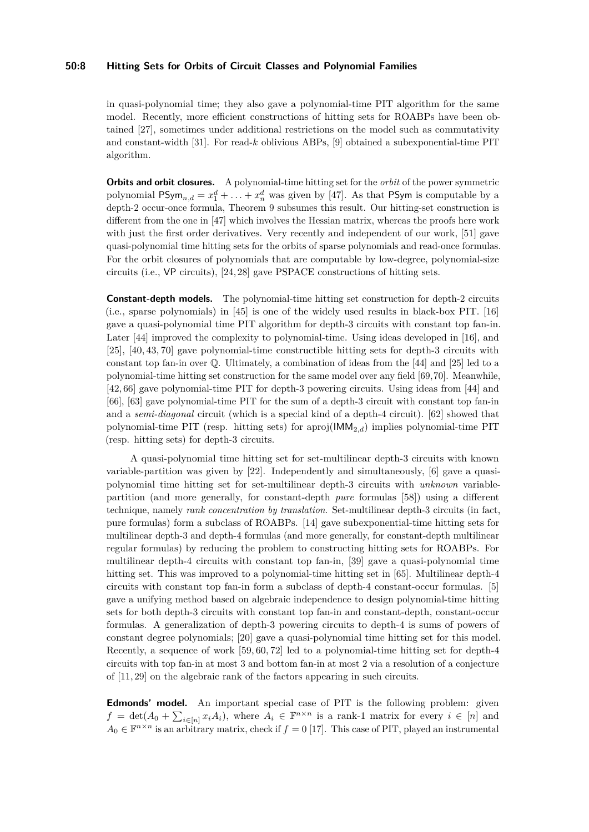### **50:8 Hitting Sets for Orbits of Circuit Classes and Polynomial Families**

in quasi-polynomial time; they also gave a polynomial-time PIT algorithm for the same model. Recently, more efficient constructions of hitting sets for ROABPs have been obtained [\[27\]](#page-17-7), sometimes under additional restrictions on the model such as commutativity and constant-width [\[31\]](#page-17-8). For read-*k* oblivious ABPs, [\[9\]](#page-16-11) obtained a subexponential-time PIT algorithm.

**Orbits and orbit closures.** A polynomial-time hitting set for the *orbit* of the power symmetric polynomial  $\mathsf{PSym}_{n,d} = x_1^d + \ldots + x_n^d$  was given by [\[47\]](#page-18-10). As that  $\mathsf{PSym}$  is computable by a depth-2 occur-once formula, Theorem [9](#page-4-0) subsumes this result. Our hitting-set construction is different from the one in [\[47\]](#page-18-10) which involves the Hessian matrix, whereas the proofs here work with just the first order derivatives. Very recently and independent of our work, [\[51\]](#page-18-9) gave quasi-polynomial time hitting sets for the orbits of sparse polynomials and read-once formulas. For the orbit closures of polynomials that are computable by low-degree, polynomial-size circuits (i.e., VP circuits), [\[24,](#page-17-9) [28\]](#page-17-10) gave PSPACE constructions of hitting sets.

**Constant-depth models.** The polynomial-time hitting set construction for depth-2 circuits (i.e., sparse polynomials) in [\[45\]](#page-18-11) is one of the widely used results in black-box PIT. [\[16\]](#page-16-12) gave a quasi-polynomial time PIT algorithm for depth-3 circuits with constant top fan-in. Later [\[44\]](#page-18-13) improved the complexity to polynomial-time. Using ideas developed in [\[16\]](#page-16-12), and [\[25\]](#page-17-11), [\[40,](#page-18-14) [43,](#page-18-15) [70\]](#page-19-9) gave polynomial-time constructible hitting sets for depth-3 circuits with constant top fan-in over Q. Ultimately, a combination of ideas from the [\[44\]](#page-18-13) and [\[25\]](#page-17-11) led to a polynomial-time hitting set construction for the same model over any field [\[69,](#page-19-10)[70\]](#page-19-9). Meanwhile, [\[42,](#page-18-16) [66\]](#page-19-7) gave polynomial-time PIT for depth-3 powering circuits. Using ideas from [\[44\]](#page-18-13) and [\[66\]](#page-19-7), [\[63\]](#page-19-6) gave polynomial-time PIT for the sum of a depth-3 circuit with constant top fan-in and a *semi-diagonal* circuit (which is a special kind of a depth-4 circuit). [\[62\]](#page-19-8) showed that polynomial-time PIT (resp. hitting sets) for aproj(IMM2*,d*) implies polynomial-time PIT (resp. hitting sets) for depth-3 circuits.

A quasi-polynomial time hitting set for set-multilinear depth-3 circuits with known variable-partition was given by [\[22\]](#page-17-12). Independently and simultaneously, [\[6\]](#page-16-10) gave a quasipolynomial time hitting set for set-multilinear depth-3 circuits with *unknown* variablepartition (and more generally, for constant-depth *pure* formulas [\[58\]](#page-19-11)) using a different technique, namely *rank concentration by translation*. Set-multilinear depth-3 circuits (in fact, pure formulas) form a subclass of ROABPs. [\[14\]](#page-16-13) gave subexponential-time hitting sets for multilinear depth-3 and depth-4 formulas (and more generally, for constant-depth multilinear regular formulas) by reducing the problem to constructing hitting sets for ROABPs. For multilinear depth-4 circuits with constant top fan-in, [\[39\]](#page-18-8) gave a quasi-polynomial time hitting set. This was improved to a polynomial-time hitting set in [\[65\]](#page-19-5). Multilinear depth-4 circuits with constant top fan-in form a subclass of depth-4 constant-occur formulas. [\[5\]](#page-16-4) gave a unifying method based on algebraic independence to design polynomial-time hitting sets for both depth-3 circuits with constant top fan-in and constant-depth, constant-occur formulas. A generalization of depth-3 powering circuits to depth-4 is sums of powers of constant degree polynomials; [\[20\]](#page-16-14) gave a quasi-polynomial time hitting set for this model. Recently, a sequence of work [\[59,](#page-19-12) [60,](#page-19-13) [72\]](#page-20-6) led to a polynomial-time hitting set for depth-4 circuits with top fan-in at most 3 and bottom fan-in at most 2 via a resolution of a conjecture of [\[11,](#page-16-6) [29\]](#page-17-13) on the algebraic rank of the factors appearing in such circuits.

**Edmonds' model.** An important special case of PIT is the following problem: given  $f = det(A_0 + \sum_{i \in [n]} x_i A_i)$ , where  $A_i \in \mathbb{F}^{n \times n}$  is a rank-1 matrix for every  $i \in [n]$  and  $A_0 \in \mathbb{F}^{n \times n}$  is an arbitrary matrix, check if  $f = 0$  [\[17\]](#page-16-15). This case of PIT, played an instrumental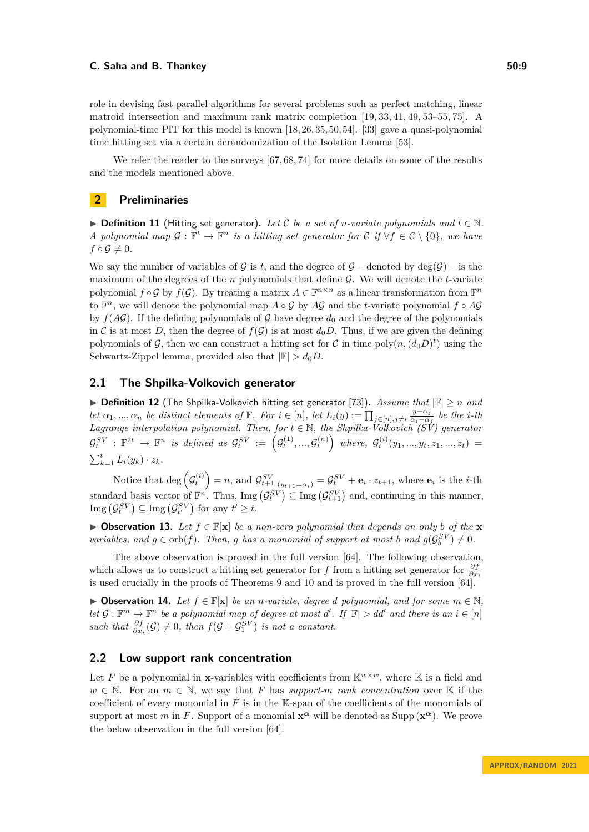role in devising fast parallel algorithms for several problems such as perfect matching, linear matroid intersection and maximum rank matrix completion [\[19,](#page-16-1) [33,](#page-17-0) [41,](#page-18-0) [49,](#page-18-1) [53–](#page-18-2)[55,](#page-19-0) [75\]](#page-20-2). A polynomial-time PIT for this model is known [\[18,](#page-16-16) [26,](#page-17-14) [35,](#page-17-15) [50,](#page-18-17) [54\]](#page-18-3). [\[33\]](#page-17-0) gave a quasi-polynomial time hitting set via a certain derandomization of the Isolation Lemma [\[53\]](#page-18-2).

We refer the reader to the surveys [\[67,](#page-19-14) [68,](#page-19-15) [74\]](#page-20-7) for more details on some of the results and the models mentioned above.

### **2 Preliminaries**

▶ **Definition 11** (Hitting set generator). Let C be a set of *n*-variate polynomials and  $t \in \mathbb{N}$ . *A* polynomial map  $\mathcal{G}: \mathbb{F}^t \to \mathbb{F}^n$  is a hitting set generator for  $\mathcal{C}$  if  $\forall f \in \mathcal{C} \setminus \{0\}$ , we have  $f \circ \mathcal{G} \neq 0$ .

We say the number of variables of  $\mathcal G$  is  $t$ , and the degree of  $\mathcal G$  – denoted by deg( $\mathcal G$ ) – is the maximum of the degrees of the *n* polynomials that define G. We will denote the *t*-variate polynomial  $f \circ \mathcal{G}$  by  $f(\mathcal{G})$ . By treating a matrix  $A \in \mathbb{F}^{n \times n}$  as a linear transformation from  $\mathbb{F}^n$ to  $\mathbb{F}^n$ , we will denote the polynomial map  $A \circ \mathcal{G}$  by  $A\mathcal{G}$  and the *t*-variate polynomial  $f \circ A\mathcal{G}$ by  $f(A\mathcal{G})$ . If the defining polynomials of  $\mathcal G$  have degree  $d_0$  and the degree of the polynomials in C is at most D, then the degree of  $f(G)$  is at most  $d_0D$ . Thus, if we are given the defining polynomials of  $\mathcal{G}$ , then we can construct a hitting set for  $\mathcal{C}$  in time poly $(n, (d_0 D)^t)$  using the Schwartz-Zippel lemma, provided also that  $|\mathbb{F}| > d_0 D$ .

# **2.1 The Shpilka-Volkovich generator**

<span id="page-8-1"></span>▶ **Definition 12** (The Shpilka-Volkovich hitting set generator [\[73\]](#page-20-5))**.** *Assume that* |F| ≥ *n and let*  $\alpha_1, ..., \alpha_n$  *be distinct elements of*  $\mathbb{F}$ *. For*  $i \in [n]$ *, let*  $L_i(y) := \prod_{j \in [n], j \neq i} \frac{y - \alpha_j}{\alpha_i - \alpha_j}$  $\frac{y-\alpha_j}{\alpha_i-\alpha_j}$  *be the i-th Lagrange interpolation polynomial. Then, for*  $t \in \mathbb{N}$ , the Shpilka-Volkovich  $(SV)$  generator G *SV t* : F <sup>2</sup>*<sup>t</sup>* → F *<sup>n</sup> is defined as* G *SV t* := G (1) *t , ...,* G (*n*) *t where,* G (*i*) *t* (*y*1*, ..., yt, z*1*, ..., zt*) =  $\sum_{k=1}^t L_i(y_k) \cdot z_k$ .

Notice that  $\deg\left(\mathcal{G}_t^{(i)}\right) = n$ , and  $\mathcal{G}_{t+1|(\mathbf{y}_{t+1}=\alpha_i)}^{SV} = \mathcal{G}_t^{SV} + \mathbf{e}_i \cdot z_{t+1}$ , where  $\mathbf{e}_i$  is the *i*-th standard basis vector of  $\mathbb{F}^n$ . Thus,  $\text{Img}\left(\mathcal{G}_t^{SV}\right) \subseteq \text{Img}\left(\mathcal{G}_{t+1}^{SV}\right)$  and, continuing in this manner,  $\text{Img}\left(\mathcal{G}_t^{SV}\right) \subseteq \text{Img}\left(\mathcal{G}_{t'}^{SV}\right)$  for any  $t' \geq t$ .

<span id="page-8-3"></span>▶ Observation 13. Let  $f \in \mathbb{F}[\mathbf{x}]$  be a non-zero polynomial that depends on only b of the **x** *variables, and*  $g \in \text{orb}(f)$ *. Then, g has a monomial of support at most b and*  $g(\mathcal{G}_b^{SV}) \neq 0$ *.* 

The above observation is proved in the full version [\[64\]](#page-19-3). The following observation, which allows us to construct a hitting set generator for *f* from a hitting set generator for  $\frac{\partial f}{\partial x_i}$ is used crucially in the proofs of Theorems [9](#page-4-0) and [10](#page-4-1) and is proved in the full version [\[64\]](#page-19-3).

▶ Observation 14. Let  $f \in \mathbb{F}[\mathbf{x}]$  be an *n*-variate, degree *d* polynomial, and for some  $m \in \mathbb{N}$ . *let*  $\mathcal{G}: \mathbb{F}^m \to \mathbb{F}^n$  *be a polynomial map of degree at most d'. If*  $|\mathbb{F}| > dd'$  *and there is an*  $i \in [n]$ *such that*  $\frac{\partial f}{\partial x_i}(\mathcal{G}) \neq 0$ , then  $f(\mathcal{G} + \mathcal{G}_1^{\text{SV}})$  *is not a constant.* 

### <span id="page-8-0"></span>**2.2 Low support rank concentration**

<span id="page-8-2"></span>Let F be a polynomial in **x**-variables with coefficients from  $\mathbb{K}^{w \times w}$ , where K is a field and  $w \in \mathbb{N}$ . For an  $m \in \mathbb{N}$ , we say that *F* has *support-m rank concentration* over K if the coefficient of every monomial in *F* is in the K-span of the coefficients of the monomials of support at most *m* in *F*. Support of a monomial  $\mathbf{x}^{\alpha}$  will be denoted as Supp  $(\mathbf{x}^{\alpha})$ . We prove the below observation in the full version [\[64\]](#page-19-3).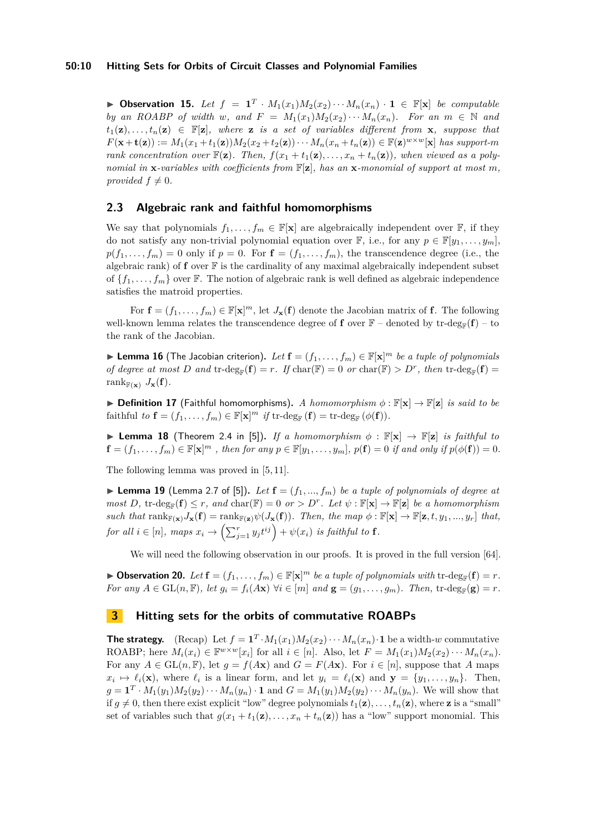#### **50:10 Hitting Sets for Orbits of Circuit Classes and Polynomial Families**

▶ **Observation 15.** *Let*  $f = \mathbf{1}^T \cdot M_1(x_1)M_2(x_2)\cdots M_n(x_n) \cdot \mathbf{1} \in \mathbb{F}[\mathbf{x}]$  *be computable by an ROABP of width w, and*  $F = M_1(x_1)M_2(x_2)\cdots M_n(x_n)$ *. For an*  $m \in \mathbb{N}$  and  $t_1(\mathbf{z}), \ldots, t_n(\mathbf{z}) \in \mathbb{F}[\mathbf{z}]$ , where **z** *is a set of variables different from* **x***, suppose that*  $F(\mathbf{x} + \mathbf{t}(\mathbf{z})) := M_1(x_1 + t_1(\mathbf{z}))M_2(x_2 + t_2(\mathbf{z})) \cdots M_n(x_n + t_n(\mathbf{z})) \in \mathbb{F}(\mathbf{z})^{w \times w}[\mathbf{x}]$  has support-m *rank concentration over*  $\mathbb{F}(\mathbf{z})$ . Then,  $f(x_1 + t_1(\mathbf{z}), \ldots, x_n + t_n(\mathbf{z}))$ , when viewed as a poly*nomial in*  $\mathbf{x}$ *-variables with coefficients from*  $\mathbb{F}[\mathbf{z}]$ , has an  $\mathbf{x}$ *-monomial of support at most*  $m$ , *provided*  $f \neq 0$ *.* 

### **2.3 Algebraic rank and faithful homomorphisms**

We say that polynomials  $f_1, \ldots, f_m \in \mathbb{F}[\mathbf{x}]$  are algebraically independent over  $\mathbb{F}$ , if they do not satisfy any non-trivial polynomial equation over  $\mathbb{F}$ , i.e., for any  $p \in \mathbb{F}[y_1, \ldots, y_m]$ ,  $p(f_1, \ldots, f_m) = 0$  only if  $p = 0$ . For  $\mathbf{f} = (f_1, \ldots, f_m)$ , the transcendence degree (i.e., the algebraic rank) of  $f$  over  $\mathbb F$  is the cardinality of any maximal algebraically independent subset of  $\{f_1, \ldots, f_m\}$  over F. The notion of algebraic rank is well defined as algebraic independence satisfies the matroid properties.

For  $f = (f_1, \ldots, f_m) \in \mathbb{F}[\mathbf{x}]^m$ , let  $J_{\mathbf{x}}(f)$  denote the Jacobian matrix of f. The following well-known lemma relates the transcendence degree of **f** over  $\mathbb{F}$  – denoted by tr-deg<sub> $\mathbb{F}$ </sub>(**f**) – to the rank of the Jacobian.

▶ **Lemma 16** (The Jacobian criterion). Let  $f = (f_1, \ldots, f_m) \in \mathbb{F}[\mathbf{x}]^m$  *be a tuple of polynomials of degree at most D and* tr-deg<sub>F</sub>(**f**) = *r. If* char(F) = 0 *or* char(F) > *D<sup>r</sup>*, *then* tr-deg<sub>F</sub>(**f**) = rank $_{\mathbb{F}(\mathbf{x})}$   $J_{\mathbf{x}}(\mathbf{f})$ .

<span id="page-9-0"></span>▶ **Definition 17** (Faithful homomorphisms)**.** *A homomorphism ϕ* : F[**x**] → F[**z**] *is said to be* faithful *to*  $\mathbf{f} = (f_1, \ldots, f_m) \in \mathbb{F}[\mathbf{x}]^m$  *if*  $\mathrm{tr}\text{-}\mathrm{deg}_{\mathbb{F}}(\mathbf{f}) = \mathrm{tr}\text{-}\mathrm{deg}_{\mathbb{F}}(\phi(\mathbf{f})).$ 

▶ **Lemma 18** (Theorem 2.4 in [\[5\]](#page-16-4)). *If a homomorphism*  $\phi$  :  $\mathbb{F}[\mathbf{x}] \rightarrow \mathbb{F}[\mathbf{z}]$  *is faithful to*  $\mathbf{f} = (f_1, \ldots, f_m) \in \mathbb{F}[\mathbf{x}]^m$ , then for any  $p \in \mathbb{F}[y_1, \ldots, y_m]$ ,  $p(\mathbf{f}) = 0$  if and only if  $p(\phi(\mathbf{f})) = 0$ .

The following lemma was proved in [\[5,](#page-16-4) [11\]](#page-16-6).

 $\blacktriangleright$  **Lemma 19** (Lemma 2.7 of [\[5\]](#page-16-4)). Let  $\mathbf{f} = (f_1, ..., f_m)$  be a tuple of polynomials of degree at  $most\ D$ ,  $\text{tr-deg}_{\mathbb{F}}(\mathbf{f}) \leq r$ , and  $\text{char}(\mathbb{F}) = 0$  *or*  $> D^r$ . Let  $\psi : \mathbb{F}[\mathbf{x}] \to \mathbb{F}[\mathbf{z}]$  *be a homomorphism*  $such that \ \text{rank}_{\mathbb{F}(\mathbf{x})} J_{\mathbf{x}}(\mathbf{f}) = \text{rank}_{\mathbb{F}(\mathbf{z})} \psi(J_{\mathbf{x}}(\mathbf{f})).$  Then, the map  $\phi : \mathbb{F}[\mathbf{x}] \to \mathbb{F}[\mathbf{z}, t, y_1, ..., y_r]$  that,  $for \ all \ i \in [n], \ maps \ x_i \rightarrow \left( \sum_{j=1}^r y_j t^{ij} \right) + \psi(x_i) \ \ is \ faithful \ to \ \ {\mathbf f}.$ 

We will need the following observation in our proofs. It is proved in the full version [\[64\]](#page-19-3).

▶ Observation 20. Let  $f = (f_1, \ldots, f_m) \in \mathbb{F}[\mathbf{x}]^m$  *be a tuple of polynomials with* tr-deg<sub>**F**</sub>( $f$ ) = *r*. For any  $A \in GL(n, \mathbb{F})$ , let  $g_i = f_i(A\mathbf{x})$   $\forall i \in [m]$  and  $\mathbf{g} = (g_1, \ldots, g_m)$ . Then,  $\text{tr-deg}_{\mathbb{F}}(\mathbf{g}) = r$ .

### <span id="page-9-1"></span>**3 Hitting sets for the orbits of commutative ROABPs**

**The strategy.** (Recap) Let  $f = \mathbf{1}^T \cdot M_1(x_1) M_2(x_2) \cdots M_n(x_n) \cdot \mathbf{1}$  be a width-*w* commutative ROABP; here  $M_i(x_i) \in \mathbb{F}^{w \times w}[x_i]$  for all  $i \in [n]$ . Also, let  $F = M_1(x_1)M_2(x_2)\cdots M_n(x_n)$ . For any  $A \in GL(n, \mathbb{F})$ , let  $g = f(Ax)$  and  $G = F(Ax)$ . For  $i \in [n]$ , suppose that *A* maps  $x_i \mapsto \ell_i(\mathbf{x})$ , where  $\ell_i$  is a linear form, and let  $y_i = \ell_i(\mathbf{x})$  and  $\mathbf{y} = \{y_1, \ldots, y_n\}$ . Then,  $g = \mathbf{1}^T \cdot M_1(y_1) M_2(y_2) \cdots M_n(y_n) \cdot \mathbf{1}$  and  $G = M_1(y_1) M_2(y_2) \cdots M_n(y_n)$ . We will show that if  $g \neq 0$ , then there exist explicit "low" degree polynomials  $t_1(\mathbf{z}), \ldots, t_n(\mathbf{z})$ , where **z** is a "small" set of variables such that  $g(x_1 + t_1(\mathbf{z}), \ldots, x_n + t_n(\mathbf{z}))$  has a "low" support monomial. This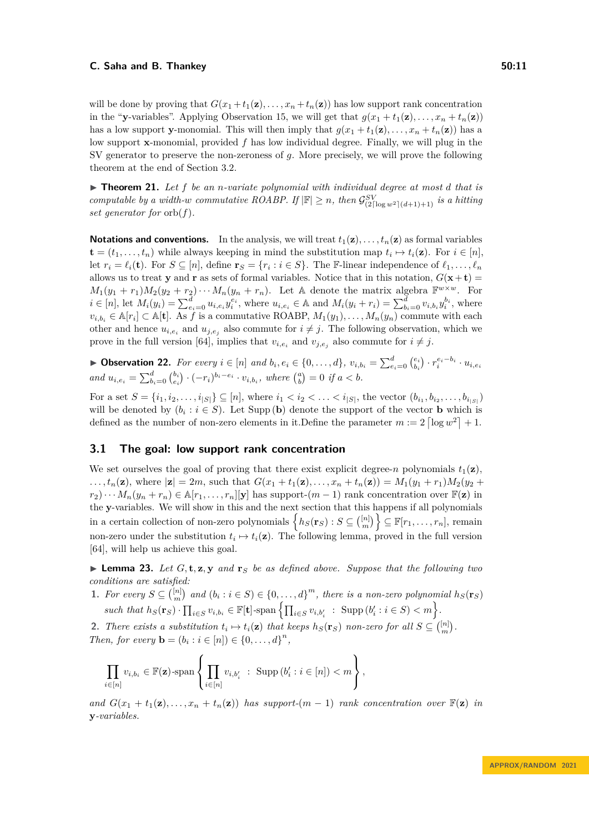will be done by proving that  $G(x_1+t_1(\mathbf{z}),\ldots,x_n+t_n(\mathbf{z}))$  has low support rank concentration in the "**y**-variables". Applying Observation [15,](#page-8-2) we will get that  $g(x_1 + t_1(\mathbf{z}), \ldots, x_n + t_n(\mathbf{z}))$ has a low support **y**-monomial. This will then imply that  $q(x_1 + t_1(\mathbf{z}), \dots, x_n + t_n(\mathbf{z}))$  has a low support **x**-monomial, provided *f* has low individual degree. Finally, we will plug in the SV generator to preserve the non-zeroness of *g*. More precisely, we will prove the following theorem at the end of Section [3.2.](#page-11-0)

<span id="page-10-1"></span>▶ **Theorem 21.** *Let f be an n-variate polynomial with individual degree at most d that is computable by a width-w commutative ROABP. If*  $|\mathbb{F}| \geq n$ *, then*  $\mathcal{G}_{(2\lceil \log w^2 \rceil (d+1)+1)}^{SV}$  *is a hitting set generator for* orb(*f*)*.*

**Notations and conventions.** In the analysis, we will treat  $t_1(\mathbf{z}), \ldots, t_n(\mathbf{z})$  as formal variables  $\mathbf{t} = (t_1, \ldots, t_n)$  while always keeping in mind the substitution map  $t_i \mapsto t_i(\mathbf{z})$ . For  $i \in [n]$ , let  $r_i = \ell_i(\mathbf{t})$ . For  $S \subseteq [n]$ , define  $\mathbf{r}_S = \{r_i : i \in S\}$ . The F-linear independence of  $\ell_1, \ldots, \ell_n$ allows us to treat **y** and **r** as sets of formal variables. Notice that in this notation,  $G(\mathbf{x} + \mathbf{t}) =$  $M_1(y_1 + r_1)M_2(y_2 + r_2)\cdots M_n(y_n + r_n)$ . Let A denote the matrix algebra  $\mathbb{F}^{w \times w}$ . For  $i \in [n]$ , let  $M_i(y_i) = \sum_{e_i=0}^d u_{i,e_i} y_i^{e_i}$ , where  $u_{i,e_i} \in A$  and  $M_i(y_i + r_i) = \sum_{b_i=0}^d v_{i,b_i} y_i^{b_i}$ , where  $v_{i,b_i} \in A[r_i] \subset A[t]$ . As *f* is a commutative ROABP,  $M_1(y_1), \ldots, M_n(y_n)$  commute with each other and hence  $u_{i,e_i}$  and  $u_{j,e_j}$  also commute for  $i \neq j$ . The following observation, which we prove in the full version [\[64\]](#page-19-3), implies that  $v_{i,e_i}$  and  $v_{j,e_j}$  also commute for  $i \neq j$ .

▶ Observation 22. For every  $i \in [n]$  and  $b_i, e_i \in \{0, ..., d\}$ ,  $v_{i,b_i} = \sum_{e_i=0}^{d} {e_i \choose b_i} \cdot r_i^{e_i-b_i} \cdot u_{i,e_i}$ and  $u_{i,e_i} = \sum_{b_i=0}^{d} {b_i \choose e_i} \cdot (-r_i)^{b_i-e_i} \cdot v_{i,b_i}$ , where  ${a \choose b} = 0$  if  $a < b$ .

For a set  $S = \{i_1, i_2, \ldots, i_{|S|}\} \subseteq [n]$ , where  $i_1 < i_2 < \ldots < i_{|S|}$ , the vector  $(b_{i_1}, b_{i_2}, \ldots, b_{i_{|S|}})$ will be denoted by  $(b_i : i \in S)$ . Let Supp (**b**) denote the support of the vector **b** which is defined as the number of non-zero elements in it. Define the parameter  $m := 2 \left[ \log w^2 \right] + 1$ .

### <span id="page-10-2"></span>**3.1 The goal: low support rank concentration**

We set ourselves the goal of proving that there exist explicit degree-*n* polynomials  $t_1(\mathbf{z})$ , ...,  $t_n(\mathbf{z})$ , where  $|\mathbf{z}| = 2m$ , such that  $G(x_1 + t_1(\mathbf{z}),..., x_n + t_n(\mathbf{z})) = M_1(y_1 + r_1)M_2(y_2 +$  $r_1 \to r_2$ .  $\cdots$   $M_n(y_n + r_n) \in \mathbb{A}[r_1, \ldots, r_n][y]$  has support- $(m-1)$  rank concentration over  $\mathbb{F}(\mathbf{z})$  in the **y**-variables. We will show in this and the next section that this happens if all polynomials  $\{h_S(\mathbf{r}_S) : S \subseteq \binom{[n]}{m}\} \subseteq \mathbb{F}[r_1, \ldots, r_n],$  remain non-zero under the substitution  $t_i \mapsto t_i(\mathbf{z})$ . The following lemma, proved in the full version [\[64\]](#page-19-3), will help us achieve this goal.

<span id="page-10-0"></span> $\blacktriangleright$  **Lemma 23.** Let  $G$ , **t**,  $z$ ,  $y$  and  $r_S$  be as defined above. Suppose that the following two *conditions are satisfied:*

1. For every  $S \subseteq \binom{[n]}{m}$  and  $(b_i : i \in S) \in \{0, \ldots, d\}^m$ , there is a non-zero polynomial  $h_S(\mathbf{r}_S)$ such that  $h_S(\mathbf{r}_S) \cdot \prod_{i \in S} v_{i,b_i} \in \mathbb{F}[\mathbf{t}]$ -span  $\left\{ \prod_{i \in S} v_{i,b'_i} : \text{Supp}(b'_i : i \in S) < m \right\}$ .

**2.** *There exists a substitution*  $t_i \mapsto t_i(\mathbf{z})$  *that keeps*  $h_S(\mathbf{r}_S)$  *non-zero for all*  $S \subseteq \binom{[n]}{m}$ *. Then, for every*  $\mathbf{b} = (b_i : i \in [n]) \in \{0, ..., d\}^n$ ,

$$
\prod_{i\in[n]} v_{i,b_i} \in \mathbb{F}(\mathbf{z})\text{-span}\left\{\prod_{i\in[n]} v_{i,b_i'} : \text{Supp}(b_i' : i\in[n]) < m\right\},\right\}
$$

*and*  $G(x_1 + t_1(\mathbf{z}), \ldots, x_n + t_n(\mathbf{z}))$  *has support-*( $m-1$ ) *rank concentration over*  $\mathbb{F}(\mathbf{z})$  *in* **y***-variables.*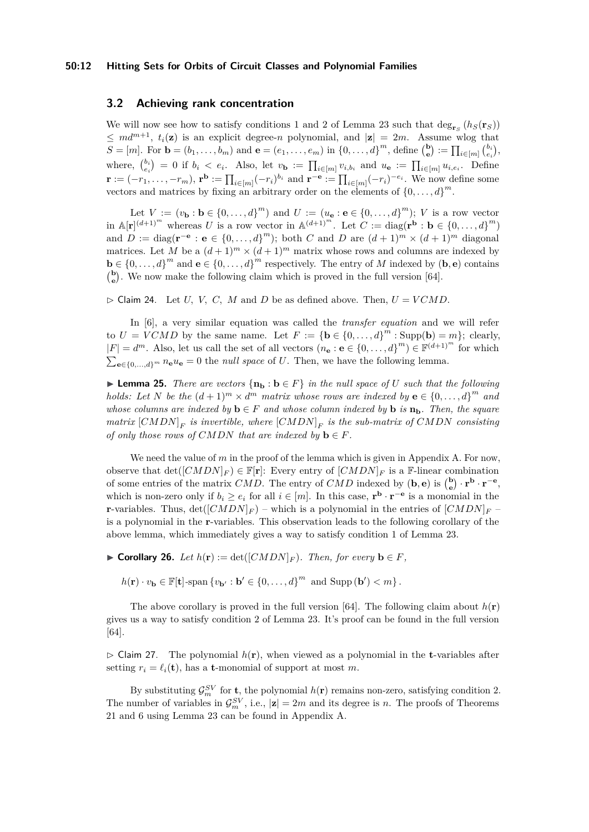#### **50:12 Hitting Sets for Orbits of Circuit Classes and Polynomial Families**

### <span id="page-11-0"></span>**3.2 Achieving rank concentration**

We will now see how to satisfy conditions 1 and 2 of Lemma [23](#page-10-0) such that  $\deg_{\mathbf{r}_S}(h_S(\mathbf{r}_S))$  $\leq md^{m+1}, t_i(\mathbf{z})$  is an explicit degree-*n* polynomial, and  $|\mathbf{z}| = 2m$ . Assume wlog that  $S = [m]$ . For  $\mathbf{b} = (b_1, ..., b_m)$  and  $\mathbf{e} = (e_1, ..., e_m)$  in  $\{0, ..., d\}^m$ , define  $\begin{pmatrix} \mathbf{b} \\ \mathbf{e} \end{pmatrix} := \prod_{i \in [m]} \begin{pmatrix} b_i \\ e_i \end{pmatrix}$ where,  $\binom{b_i}{e_i} = 0$  if  $b_i < e_i$ . Also, let  $v_{\mathbf{b}} := \prod_{i \in [m]} v_{i,b_i}$  and  $u_{\mathbf{e}} := \prod_{i \in [m]} u_{i,e_i}$ . Define  $\mathbf{r} := (-r_1, \ldots, -r_m), \, \mathbf{r}^{\mathbf{b}} := \prod_{i \in [m]} (-r_i)^{b_i}$  and  $\mathbf{r}^{-\mathbf{e}} := \prod_{i \in [m]} (-r_i)^{-e_i}$ . We now define some vectors and matrices by fixing an arbitrary order on the elements of  $\{0, \ldots, d\}^m$ .

Let  $V := (v_{\mathbf{b}} : \mathbf{b} \in \{0, ..., d\}^m)$  and  $U := (u_{\mathbf{e}} : \mathbf{e} \in \{0, ..., d\}^m)$ ; *V* is a row vector in  $\mathbb{A}[\mathbf{r}]^{(d+1)^m}$  whereas *U* is a row vector in  $\mathbb{A}^{(d+1)^m}$ . Let  $C := \text{diag}(\mathbf{r}^{\mathbf{b}} : \mathbf{b} \in \{0, \ldots, d\}^m)$ and  $D := \text{diag}(\mathbf{r}^{-\mathbf{e}} : \mathbf{e} \in \{0, \ldots, d\}^m)$ ; both *C* and *D* are  $(d+1)^m \times (d+1)^m$  diagonal matrices. Let *M* be a  $(d+1)^m \times (d+1)^m$  matrix whose rows and columns are indexed by **b** ∈ {0, . . . , *d*}<sup>*m*</sup> and **e** ∈ {0, . . . , *d*}<sup>*m*</sup> respectively. The entry of *M* indexed by (**b**, **e**) contains  $\binom{b}{e}$ . We now make the following claim which is proved in the full version [\[64\]](#page-19-3).

<span id="page-11-1"></span> $\triangleright$  Claim 24. Let *U, V, C, M* and *D* be as defined above. Then,  $U = VCMD$ .

In [\[6\]](#page-16-10), a very similar equation was called the *transfer equation* and we will refer to  $U = VCMD$  by the same name. Let  $F := \{ \mathbf{b} \in \{0, ..., d\}^m : \text{Supp}(\mathbf{b}) = m \};$  clearly,  $|F| = d^m$ . Also, let us call the set of all vectors  $(n_e : e \in \{0, ..., d\}^m) \in \mathbb{F}^{(d+1)^m}$  for which  $\sum_{e \in \{0,\ldots,d\}} p_n e_{e} = 0$  the *null space* of *U*. Then, we have the following lemma.

<span id="page-11-3"></span>▶ **Lemma 25.** *There are vectors*  $\{n_b : b \in F\}$  *in the null space of U such that the following holds:* Let *N* be the  $(d+1)^m \times d^m$  *matrix whose rows are indexed by*  $\mathbf{e} \in \{0, ..., d\}^m$  *and whose columns are indexed by*  $\mathbf{b} \in F$  *and whose column indexed by*  $\mathbf{b}$  *is*  $\mathbf{n}_b$ *. Then, the square*  $matrix \ [CMDN]$ <sub>*F*</sub> is invertible, where  $[CMDN]$ <sub>*F*</sub> is the sub-matrix of  $CMDN$  consisting *of only those rows of CMDN that are indexed by*  $\mathbf{b} \in F$ *.* 

We need the value of *m* in the proof of the lemma which is given in Appendix [A.](#page-20-8) For now, observe that  $\det((\text{CMDN}|_F) \in \mathbb{F}[\mathbf{r}]:$  Every entry of  $(\text{CMDN}|_F)$  is a F-linear combination of some entries of the matrix *CMD*. The entry of *CMD* indexed by  $(\mathbf{b}, \mathbf{e})$  is  $\begin{pmatrix} \mathbf{b} \\ \mathbf{e} \end{pmatrix} \cdot \mathbf{r}^{\mathbf{b}} \cdot \mathbf{r}^{-\mathbf{e}},$ which is non-zero only if  $b_i \ge e_i$  for all  $i \in [m]$ . In this case,  $\mathbf{r}^{\mathbf{b}} \cdot \mathbf{r}^{-\mathbf{e}}$  is a monomial in the **r**-variables. Thus,  $det([CMDN]_F)$  – which is a polynomial in the entries of  $[CMDN]_F$  – is a polynomial in the **r**-variables. This observation leads to the following corollary of the above lemma, which immediately gives a way to satisfy condition 1 of Lemma [23.](#page-10-0)

<span id="page-11-2"></span>▶ **Corollary 26.** *Let*  $h(\mathbf{r}) := \det([CMDN]_F)$ *. Then, for every*  $\mathbf{b} \in F$ *,* 

 $h(\mathbf{r}) \cdot v_{\mathbf{b}} \in \mathbb{F}[\mathbf{t}]$ -span  $\{v_{\mathbf{b}'} : \mathbf{b}' \in \{0, \ldots, d\}^m$  and  $\text{Supp}(\mathbf{b}') < m\}$ .

The above corollary is proved in the full version [\[64\]](#page-19-3). The following claim about  $h(\mathbf{r})$ gives us a way to satisfy condition 2 of Lemma [23.](#page-10-0) It's proof can be found in the full version [\[64\]](#page-19-3).

 $\triangleright$  Claim 27. The polynomial  $h(\mathbf{r})$ , when viewed as a polynomial in the **t**-variables after setting  $r_i = \ell_i(\mathbf{t})$ , has a **t**-monomial of support at most *m*.

By substituting  $\mathcal{G}_m^{SV}$  for **t**, the polynomial  $h(\mathbf{r})$  remains non-zero, satisfying condition 2. The number of variables in  $\mathcal{G}_m^{SV}$ , i.e.,  $|\mathbf{z}| = 2m$  and its degree is *n*. The proofs of Theorems [21](#page-10-1) and [6](#page-3-0) using Lemma [23](#page-10-0) can be found in Appendix [A.](#page-20-8)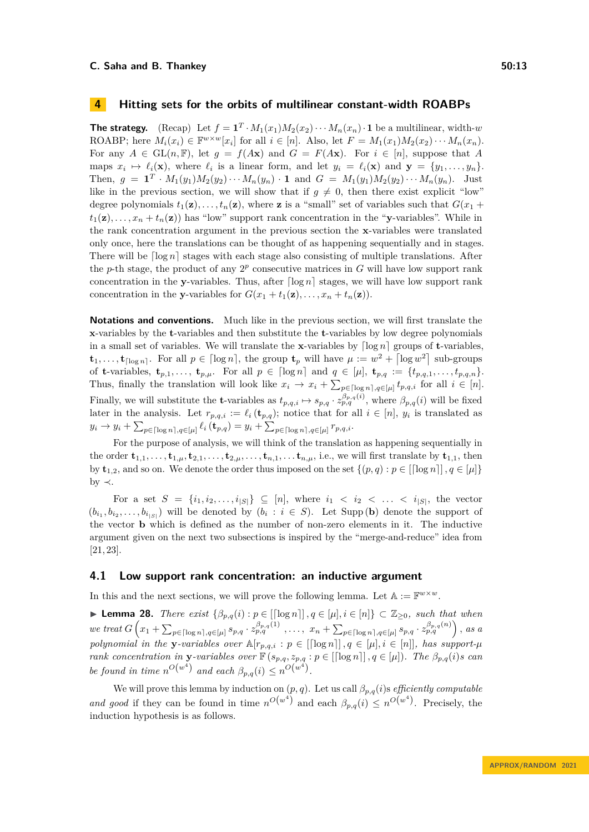# <span id="page-12-1"></span>**4 Hitting sets for the orbits of multilinear constant-width ROABPs**

**The strategy.** (Recap) Let  $f = \mathbf{1}^T \cdot M_1(x_1)M_2(x_2)\cdots M_n(x_n) \cdot \mathbf{1}$  be a multilinear, width-*w* ROABP; here  $M_i(x_i) \in \mathbb{F}^{w \times w}[x_i]$  for all  $i \in [n]$ . Also, let  $F = M_1(x_1)M_2(x_2)\cdots M_n(x_n)$ . For any  $A \in GL(n, \mathbb{F})$ , let  $g = f(A\mathbf{x})$  and  $G = F(A\mathbf{x})$ . For  $i \in [n]$ , suppose that A maps  $x_i \mapsto \ell_i(\mathbf{x})$ , where  $\ell_i$  is a linear form, and let  $y_i = \ell_i(\mathbf{x})$  and  $\mathbf{y} = \{y_1, \ldots, y_n\}$ . Then,  $g = \mathbf{1}^T \cdot M_1(y_1) M_2(y_2) \cdots M_n(y_n) \cdot \mathbf{1}$  and  $G = M_1(y_1) M_2(y_2) \cdots M_n(y_n)$ . Just like in the previous section, we will show that if  $g \neq 0$ , then there exist explicit "low" degree polynomials  $t_1(\mathbf{z}), \ldots, t_n(\mathbf{z})$ , where **z** is a "small" set of variables such that  $G(x_1 +$  $t_1(\mathbf{z}), \ldots, x_n + t_n(\mathbf{z})$  has "low" support rank concentration in the "**y**-variables". While in the rank concentration argument in the previous section the **x**-variables were translated only once, here the translations can be thought of as happening sequentially and in stages. There will be  $\lceil \log n \rceil$  stages with each stage also consisting of multiple translations. After the *p*-th stage, the product of any  $2^p$  consecutive matrices in  $G$  will have low support rank concentration in the **y**-variables. Thus, after  $\lceil \log n \rceil$  stages, we will have low support rank concentration in the **y**-variables for  $G(x_1 + t_1(\mathbf{z}), \ldots, x_n + t_n(\mathbf{z}))$ .

**Notations and conventions.** Much like in the previous section, we will first translate the **x**-variables by the **t**-variables and then substitute the **t**-variables by low degree polynomials in a small set of variables. We will translate the **x**-variables by  $\lceil \log n \rceil$  groups of **t**-variables,  $\mathbf{t}_1, \ldots, \mathbf{t}_{\lceil \log n \rceil}$ . For all  $p \in \lceil \log n \rceil$ , the group  $\mathbf{t}_p$  will have  $\mu := w^2 + \lceil \log w^2 \rceil$  sub-groups of **t**-variables,  $\mathbf{t}_{p,1}, \ldots, \mathbf{t}_{p,\mu}$ . For all  $p \in \lceil \log n \rceil$  and  $q \in [\mu], \mathbf{t}_{p,q} := \{t_{p,q,1}, \ldots, t_{p,q,n}\}.$ Thus, finally the translation will look like  $x_i \to x_i + \sum_{p \in [\log n], q \in [\mu]} t_{p,q,i}$  for all  $i \in [n]$ . Finally, we will substitute the **t**-variables as  $t_{p,q,i} \mapsto s_{p,q} \cdot z_{p,q}^{\beta_{p,q}(i)}$ , where  $\beta_{p,q}(i)$  will be fixed later in the analysis. Let  $r_{p,q,i} := \ell_i(\mathbf{t}_{p,q})$ ; notice that for all  $i \in [n]$ ,  $y_i$  is translated as  $y_i \to y_i + \sum_{p \in [\log n]_i} \rho_{\epsilon}(\mathbf{t}_{p,q}) = y_i + \sum_{p \in [\log n]_i} \rho_{\epsilon}(\mu) r_{p,q,i}.$ 

For the purpose of analysis, we will think of the translation as happening sequentially in the order  ${\bf t}_{1,1},\ldots,{\bf t}_{1,u},{\bf t}_{2,1},\ldots,{\bf t}_{2,u},\ldots,{\bf t}_{n,1},\ldots,{\bf t}_{n,u}$ , i.e., we will first translate by  ${\bf t}_{1,1}$ , then by  $\mathbf{t}_{1,2}$ , and so on. We denote the order thus imposed on the set  $\{(p,q): p \in [\lceil \log n \rceil], q \in [\mu]\}$ by  $\prec$ .

For a set  $S = \{i_1, i_2, \ldots, i_{|S|}\} \subseteq [n]$ , where  $i_1 < i_2 < \ldots < i_{|S|}$ , the vector  $(b_{i_1}, b_{i_2}, \ldots, b_{i_{|S|}})$  will be denoted by  $(b_i : i \in S)$ . Let Supp (**b**) denote the support of the vector **b** which is defined as the number of non-zero elements in it. The inductive argument given on the next two subsections is inspired by the "merge-and-reduce" idea from [\[21,](#page-17-5) [23\]](#page-17-3).

### **4.1 Low support rank concentration: an inductive argument**

In this and the next sections, we will prove the following lemma. Let  $A := \mathbb{F}^{w \times w}$ .

<span id="page-12-0"></span>▶ **Lemma 28.** *There exist*  $\{\beta_{p,q}(i) : p \in [[\log n]], q \in [\mu], i \in [n]\} \subset \mathbb{Z}_{\geq 0}$ *, such that when* we treat  $G\left(x_1 + \sum_{p \in [\log n], q \in [\mu]} s_{p,q} \cdot z_{p,q}^{\beta_{p,q}(1)} , \ldots, x_n + \sum_{p \in [\log n], q \in [\mu]} s_{p,q} \cdot z_{p,q}^{\beta_{p,q}(n)} \right)$ , as a *polynomial in the*  $\mathbf{y}$ *-variables over*  $\mathbb{A}[r_{p,q,i}: p \in [[\log n]]$ ,  $q \in [\mu], i \in [n]]$ *, has support-* $\mu$ *rank concentration in* **y***-variables over*  $\mathbb{F}(s_{p,q}, z_{p,q}: p \in [[\log n]], q \in [\mu]).$  *The*  $\beta_{p,q}(i)$ *s can be found in time*  $n^{O(w^4)}$  *and each*  $\beta_{p,q}(i) \leq n^{O(w^4)}$ .

We will prove this lemma by induction on  $(p, q)$ . Let us call  $\beta_{p,q}(i)$ s *efficiently computable and good* if they can be found in time  $n^{O(w^4)}$  and each  $\beta_{p,q}(i) \leq n^{O(w^4)}$ . Precisely, the induction hypothesis is as follows.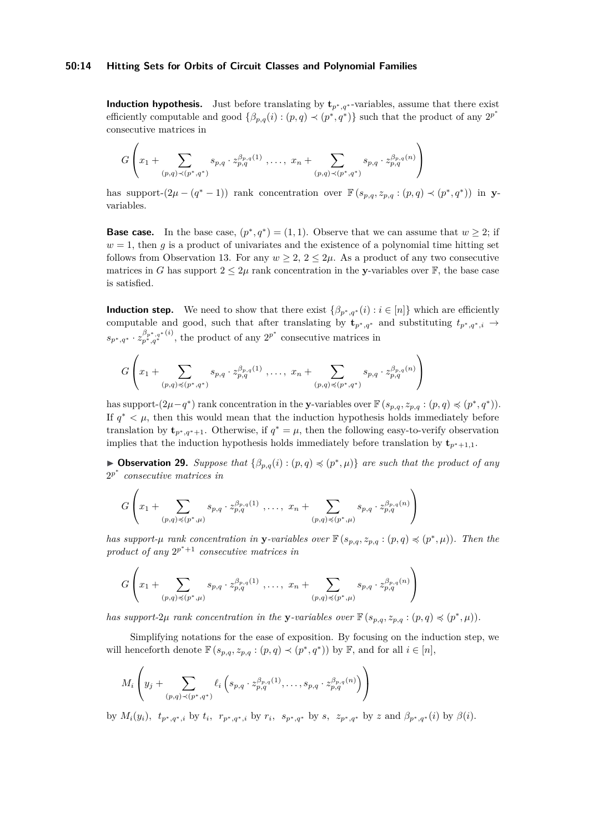#### **50:14 Hitting Sets for Orbits of Circuit Classes and Polynomial Families**

**Induction hypothesis.** Just before translating by  $\mathbf{t}_{p^*q^*}$ -variables, assume that there exist efficiently computable and good  $\{\beta_{p,q}(i) : (p,q) \prec (p^*,q^*)\}$  such that the product of any  $2^{p^*}$ consecutive matrices in

$$
G\left(x_1+\sum_{(p,q)\prec (p^*,q^*)} s_{p,q} \cdot z_{p,q}^{\beta_{p,q}(1)}\right),\ldots, x_n+\sum_{(p,q)\prec (p^*,q^*)} s_{p,q} \cdot z_{p,q}^{\beta_{p,q}(n)}\right)
$$

has support- $(2\mu - (q^* - 1))$  rank concentration over  $\mathbb{F}(s_{p,q}, z_{p,q} : (p,q) \prec (p^*, q^*)$  in yvariables.

**Base case.** In the base case,  $(p^*, q^*) = (1, 1)$ . Observe that we can assume that  $w \geq 2$ ; if  $w = 1$ , then *g* is a product of univariates and the existence of a polynomial time hitting set follows from Observation [13.](#page-8-3) For any  $w > 2$ ,  $2 < 2\mu$ . As a product of any two consecutive matrices in *G* has support  $2 \leq 2\mu$  rank concentration in the **y**-variables over **F**, the base case is satisfied.

**Induction step.** We need to show that there exist  $\{\beta_{p^*,q^*}(i): i \in [n]\}$  which are efficiently computable and good, such that after translating by  $\mathbf{t}_{p^*,q^*}$  and substituting  $t_{p^*,q^*,i} \rightarrow$  $s_{p^*,q^*} \cdot z_{p^*,q^*}^{\beta_{p^*,q^*}(i)}$ , the product of any  $2^{p^*}$  consecutive matrices in

$$
G\left(x_1+\sum_{(p,q)\preccurlyeq (p^*,q^*)} s_{p,q} \cdot z_{p,q}^{\beta_{p,q}(1)}\right),\dots, x_n+\sum_{(p,q)\preccurlyeq (p^*,q^*)} s_{p,q} \cdot z_{p,q}^{\beta_{p,q}(n)}\right)
$$

has support- $(2\mu - q^*)$  rank concentration in the **y**-variables over  $\mathbb{F}(s_{p,q}, z_{p,q} : (p,q) \preccurlyeq (p^*, q^*)$ . If  $q^* < \mu$ , then this would mean that the induction hypothesis holds immediately before translation by  $\mathbf{t}_{p^*,q^*+1}$ . Otherwise, if  $q^* = \mu$ , then the following easy-to-verify observation implies that the induction hypothesis holds immediately before translation by  $\mathbf{t}_{p^*+1,1}$ .

▶ **Observation 29.** *Suppose that*  $\{\beta_{p,q}(i) : (p,q) \preccurlyeq (p^*,\mu)\}\$  *are such that the product of any* 2 *p* ∗ *consecutive matrices in*

$$
G\left(x_1+\sum_{(p,q)\preccurlyeq (p^*,\mu)} s_{p,q} \cdot z_{p,q}^{\beta_{p,q}(1)}\ ,\ldots,\ x_n+\sum_{(p,q)\preccurlyeq (p^*,\mu)} s_{p,q} \cdot z_{p,q}^{\beta_{p,q}(n)}\right)
$$

*has support-µ rank concentration in* **y**-variables over  $\mathbb{F}(s_{p,q}, z_{p,q} : (p,q) \preccurlyeq (p^*, \mu))$ *. Then the*  $\text{product of any } 2^{p^*+1}$  *consecutive matrices in* 

$$
G\left(x_1+\sum_{(p,q)\preccurlyeq(p^*,\mu)} s_{p,q} \cdot z_{p,q}^{\beta_{p,q}(1)},\ldots, x_n+\sum_{(p,q)\preccurlyeq(p^*,\mu)} s_{p,q} \cdot z_{p,q}^{\beta_{p,q}(n)}\right)
$$

*has support-2µ rank concentration in the y-variables over*  $\mathbb{F}(s_{p,q}, z_{p,q} : (p,q) \preccurlyeq (p^*, \mu)).$ 

Simplifying notations for the ease of exposition. By focusing on the induction step, we will henceforth denote  $\mathbb{F}(s_{p,q}, z_{p,q} : (p,q) \prec (p^*, q^*))$  by  $\mathbb{F}$ , and for all  $i \in [n]$ ,

$$
M_i\left(y_j+\sum_{(p,q)\prec(p^*,q^*)} \ell_i\left(s_{p,q}\cdot z_{p,q}^{\beta_{p,q}(1)},\ldots,s_{p,q}\cdot z_{p,q}^{\beta_{p,q}(n)}\right)\right)
$$

by  $M_i(y_i)$ ,  $t_{p^*,q^*,i}$  by  $t_i$ ,  $r_{p^*,q^*,i}$  by  $r_i$ ,  $s_{p^*,q^*}$  by  $s$ ,  $z_{p^*,q^*}$  by  $z$  and  $\beta_{p^*,q^*}(i)$  by  $\beta(i)$ .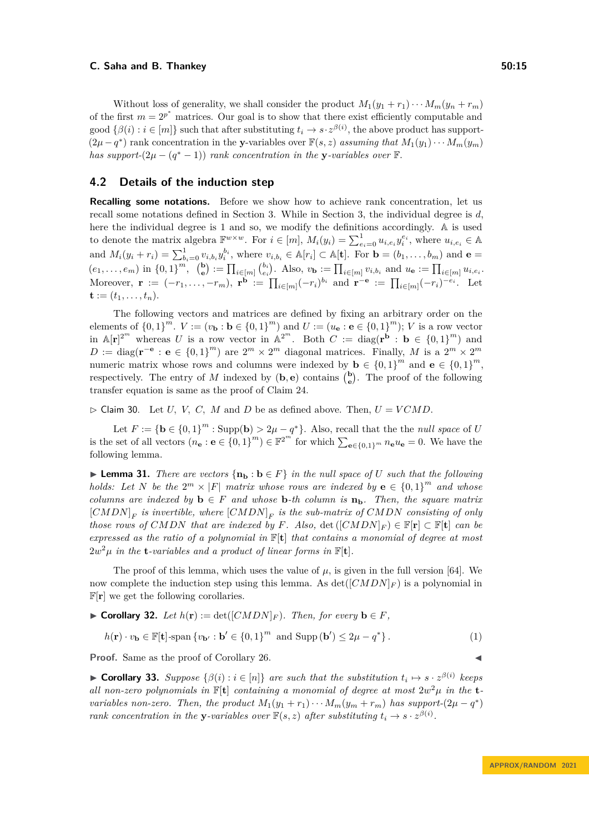Without loss of generality, we shall consider the product  $M_1(y_1 + r_1) \cdots M_m(y_n + r_m)$ of the first  $m = 2^{p^*}$  matrices. Our goal is to show that there exist efficiently computable and  $\{ \beta(i) : i \in [m] \}$  such that after substituting  $t_i \to s \cdot z^{\beta(i)}$ , the above product has support- $(2\mu - q^*)$  rank concentration in the **y**-variables over  $\mathbb{F}(s, z)$  *assuming that*  $M_1(y_1) \cdots M_m(y_m)$ *has support-* $(2\mu - (q^* - 1))$  *rank concentration in the* **y***-variables over* F.

### **4.2 Details of the induction step**

**Recalling some notations.** Before we show how to achieve rank concentration, let us recall some notations defined in Section [3.](#page-9-1) While in Section [3,](#page-9-1) the individual degree is *d*, here the individual degree is 1 and so, we modify the definitions accordingly. A is used to denote the matrix algebra  $\mathbb{F}^{w \times w}$ . For  $i \in [m]$ ,  $M_i(y_i) = \sum_{e_i=0}^1 u_{i,e_i} y_i^{e_i}$ , where  $u_{i,e_i} \in \mathbb{A}$ and  $M_i(y_i + r_i) = \sum_{b_i=0}^{1} v_{i,b_i} y_i^{b_i}$ , where  $v_{i,b_i} \in \mathbb{A}[r_i] \subset \mathbb{A}[\mathbf{t}]$ . For  $\mathbf{b} = (b_1, \ldots, b_m)$  and  $\mathbf{e} =$  $(e_1, \ldots, e_m)$  in  $\{0,1\}^m$ ,  $\binom{\mathbf{b}}{\mathbf{e}} := \prod_{i \in [m]} \binom{b_i}{e_i}$ . Also,  $v_{\mathbf{b}} := \prod_{i \in [m]} v_{i,b_i}$  and  $u_{\mathbf{e}} := \prod_{i \in [m]} u_{i,e_i}$ . Moreover,  $\mathbf{r} := (-r_1, \ldots, -r_m)$ ,  $\mathbf{r}^{\mathbf{b}} := \prod_{i \in [m]} (-r_i)^{b_i}$  and  $\mathbf{r}^{-\mathbf{e}} := \prod_{i \in [m]} (-r_i)^{-e_i}$ . Let  ${\bf t} := (t_1, \ldots, t_n).$ 

The following vectors and matrices are defined by fixing an arbitrary order on the elements of  $\{0,1\}^m$ .  $V := (v_{\mathbf{b}} : \mathbf{b} \in \{0,1\}^m)$  and  $U := (u_{\mathbf{e}} : \mathbf{e} \in \{0,1\}^m)$ ; *V* is a row vector in  $\mathbb{A}[\mathbf{r}]^{2^m}$  whereas *U* is a row vector in  $\mathbb{A}^{2^m}$ . Both  $C := \text{diag}(\mathbf{r}^{\mathbf{b}} : \mathbf{b} \in \{0,1\}^m)$  and  $D := \text{diag}(\mathbf{r}^{-\mathbf{e}} : \mathbf{e} \in \{0,1\}^m)$  are  $2^m \times 2^m$  diagonal matrices. Finally, *M* is a  $2^m \times 2^m$ numeric matrix whose rows and columns were indexed by  $\mathbf{b} \in \{0,1\}^m$  and  $\mathbf{e} \in \{0,1\}^m$ , respectively. The entry of *M* indexed by  $(b, e)$  contains  $\binom{b}{e}$ . The proof of the following transfer equation is same as the proof of Claim [24.](#page-11-1)

 $\triangleright$  Claim 30. Let *U*, *V*, *C*, *M* and *D* be as defined above. Then,  $U = VCMD$ .

Let  $F := \{ \mathbf{b} \in \{0,1\}^m : \text{Supp}(\mathbf{b}) > 2\mu - q^* \}.$  Also, recall that the the *null space* of *U* is the set of all vectors  $(n_e : e \in \{0,1\}^m) \in \mathbb{F}^{2^m}$  for which  $\sum_{e \in \{0,1\}^m} n_e u_e = 0$ . We have the following lemma.

<span id="page-14-1"></span>▶ **Lemma 31.** *There are vectors*  $\{n_b : b \in F\}$  *in the null space of U such that the following holds:* Let *N* be the  $2^m \times |F|$  *matrix whose rows are indexed by*  $e \in \{0,1\}^m$  *and whose columns are indexed by*  $\mathbf{b} \in F$  *and whose*  $\mathbf{b}$ *-th column is*  $\mathbf{n}_\mathbf{b}$ *. Then, the square matrix*  $[CMDN]$ <sub>F</sub> is invertible, where  $[CMDN]$ <sub>F</sub> is the sub-matrix of  $CMDN$  consisting of only *those rows of CMDN that are indexed by*  $F$ *. Also,* det  $([CMDN]_F) \in \mathbb{F}[\mathbf{r}] \subset \mathbb{F}[\mathbf{t}]$  *can be expressed as the ratio of a polynomial in* F[**t**] *that contains a monomial of degree at most*  $2w^2\mu$  *in the* **t***-variables and a product of linear forms in*  $\mathbb{F}[\mathbf{t}]$ *.* 

The proof of this lemma, which uses the value of  $\mu$ , is given in the full version [\[64\]](#page-19-3). We now complete the induction step using this lemma. As  $\det([CMDN]_F)$  is a polynomial in  $\mathbb{F}[\mathbf{r}]$  we get the following corollaries.

$$
\blacktriangleright \textbf{Corollary 32. } Let \ h(\mathbf{r}) := \det([CMDN]_F). \ \ Then, \ \text{for every } \mathbf{b} \in F,
$$

$$
h(\mathbf{r}) \cdot v_{\mathbf{b}} \in \mathbb{F}[\mathbf{t}] \text{-span}\left\{v_{\mathbf{b}'} : \mathbf{b}' \in \{0,1\}^m \text{ and } \text{Supp}(\mathbf{b}') \le 2\mu - q^* \right\}. \tag{1}
$$

**Proof.** Same as the proof of Corollary [26.](#page-11-2)

▶ **Corollary 33.** Suppose  $\{\beta(i) : i \in [n]\}$  are such that the substitution  $t_i \mapsto s \cdot z^{\beta(i)}$  keeps *all non-zero polynomials in*  $\mathbb{F}[\mathbf{t}]$  *containing a monomial of degree at most*  $2w^2\mu$  *in the* **t***variables non-zero. Then, the product*  $M_1(y_1 + r_1) \cdots M_m(y_m + r_m)$  *has support-* $(2\mu - q^*)$ *rank concentration in the y-variables over*  $\mathbb{F}(s, z)$  *after substituting*  $t_i \to s \cdot z^{\beta(i)}$ *.* 

<span id="page-14-0"></span>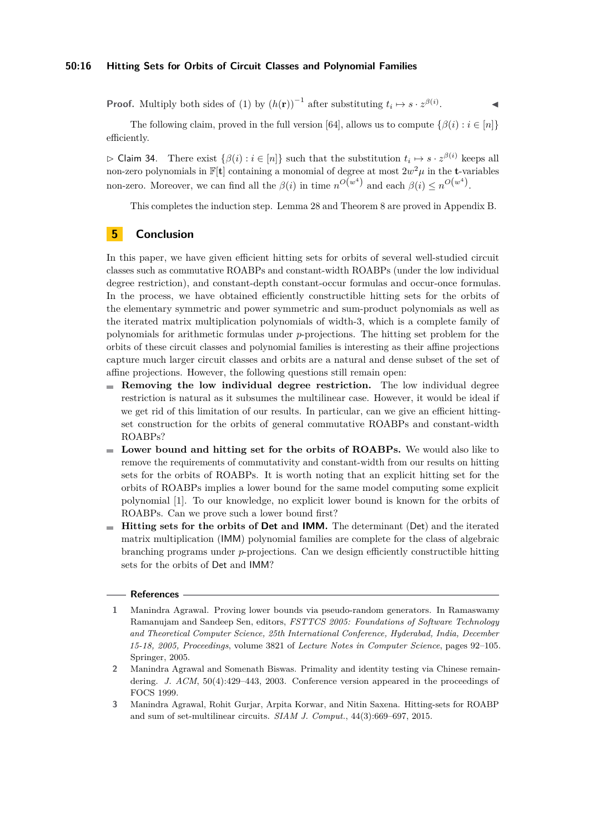#### **50:16 Hitting Sets for Orbits of Circuit Classes and Polynomial Families**

**Proof.** Multiply both sides of [\(1\)](#page-14-0) by  $(h(\mathbf{r}))^{-1}$  after substituting  $t_i \mapsto s \cdot z^{\beta(i)}$ . ◀

The following claim, proved in the full version [\[64\]](#page-19-3), allows us to compute  $\{\beta(i) : i \in [n]\}$ efficiently.

 $\triangleright$  Claim 34. There exist  $\{\beta(i) : i \in [n]\}$  such that the substitution  $t_i \mapsto s \cdot z^{\beta(i)}$  keeps all non-zero polynomials in  $\mathbb{F}[\mathbf{t}]$  containing a monomial of degree at most  $2w^2\mu$  in the **t**-variables non-zero. Moreover, we can find all the  $\beta(i)$  in time  $n^{O(w^4)}$  and each  $\beta(i) \leq n^{O(w^4)}$ .

This completes the induction step. Lemma [28](#page-12-0) and Theorem [8](#page-3-2) are proved in Appendix [B.](#page-22-0)

# **5 Conclusion**

In this paper, we have given efficient hitting sets for orbits of several well-studied circuit classes such as commutative ROABPs and constant-width ROABPs (under the low individual degree restriction), and constant-depth constant-occur formulas and occur-once formulas. In the process, we have obtained efficiently constructible hitting sets for the orbits of the elementary symmetric and power symmetric and sum-product polynomials as well as the iterated matrix multiplication polynomials of width-3, which is a complete family of polynomials for arithmetic formulas under *p*-projections. The hitting set problem for the orbits of these circuit classes and polynomial families is interesting as their affine projections capture much larger circuit classes and orbits are a natural and dense subset of the set of affine projections. However, the following questions still remain open:

- **Removing the low individual degree restriction.** The low individual degree restriction is natural as it subsumes the multilinear case. However, it would be ideal if we get rid of this limitation of our results. In particular, can we give an efficient hittingset construction for the orbits of general commutative ROABPs and constant-width ROABPs?
- **Lower bound and hitting set for the orbits of ROABPs.** We would also like to remove the requirements of commutativity and constant-width from our results on hitting sets for the orbits of ROABPs. It is worth noting that an explicit hitting set for the orbits of ROABPs implies a lower bound for the same model computing some explicit polynomial [\[1\]](#page-15-1). To our knowledge, no explicit lower bound is known for the orbits of ROABPs. Can we prove such a lower bound first?
- **Hitting sets for the orbits of Det and IMM.** The determinant (Det) and the iterated m. matrix multiplication (IMM) polynomial families are complete for the class of algebraic branching programs under *p*-projections. Can we design efficiently constructible hitting sets for the orbits of Det and IMM?

#### **References**

- <span id="page-15-1"></span>**1** Manindra Agrawal. Proving lower bounds via pseudo-random generators. In Ramaswamy Ramanujam and Sandeep Sen, editors, *FSTTCS 2005: Foundations of Software Technology and Theoretical Computer Science, 25th International Conference, Hyderabad, India, December 15-18, 2005, Proceedings*, volume 3821 of *Lecture Notes in Computer Science*, pages 92–105. Springer, 2005.
- <span id="page-15-0"></span>**2** Manindra Agrawal and Somenath Biswas. Primality and identity testing via Chinese remaindering. *J. ACM*, 50(4):429–443, 2003. Conference version appeared in the proceedings of FOCS 1999.
- <span id="page-15-2"></span>**3** Manindra Agrawal, Rohit Gurjar, Arpita Korwar, and Nitin Saxena. Hitting-sets for ROABP and sum of set-multilinear circuits. *SIAM J. Comput.*, 44(3):669–697, 2015.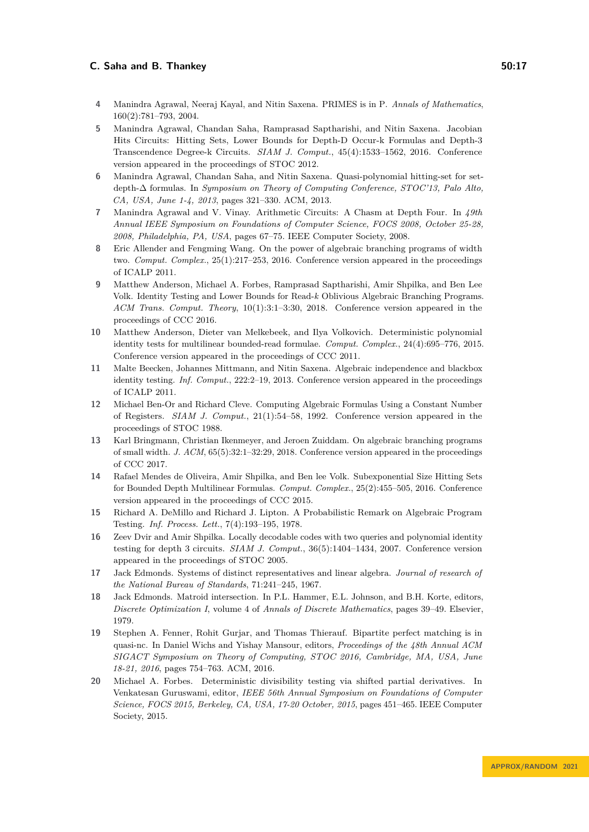- <span id="page-16-2"></span>**4** Manindra Agrawal, Neeraj Kayal, and Nitin Saxena. PRIMES is in P. *Annals of Mathematics*, 160(2):781–793, 2004.
- <span id="page-16-4"></span>**5** Manindra Agrawal, Chandan Saha, Ramprasad Saptharishi, and Nitin Saxena. Jacobian Hits Circuits: Hitting Sets, Lower Bounds for Depth-D Occur-k Formulas and Depth-3 Transcendence Degree-k Circuits. *SIAM J. Comput.*, 45(4):1533–1562, 2016. Conference version appeared in the proceedings of STOC 2012.
- <span id="page-16-10"></span>**6** Manindra Agrawal, Chandan Saha, and Nitin Saxena. Quasi-polynomial hitting-set for setdepth-∆ formulas. In *Symposium on Theory of Computing Conference, STOC'13, Palo Alto, CA, USA, June 1-4, 2013*, pages 321–330. ACM, 2013.
- <span id="page-16-5"></span>**7** Manindra Agrawal and V. Vinay. Arithmetic Circuits: A Chasm at Depth Four. In *49th Annual IEEE Symposium on Foundations of Computer Science, FOCS 2008, October 25-28, 2008, Philadelphia, PA, USA*, pages 67–75. IEEE Computer Society, 2008.
- <span id="page-16-8"></span>**8** Eric Allender and Fengming Wang. On the power of algebraic branching programs of width two. *Comput. Complex.*, 25(1):217–253, 2016. Conference version appeared in the proceedings of ICALP 2011.
- <span id="page-16-11"></span>**9** Matthew Anderson, Michael A. Forbes, Ramprasad Saptharishi, Amir Shpilka, and Ben Lee Volk. Identity Testing and Lower Bounds for Read-*k* Oblivious Algebraic Branching Programs. *ACM Trans. Comput. Theory*, 10(1):3:1–3:30, 2018. Conference version appeared in the proceedings of CCC 2016.
- <span id="page-16-3"></span>**10** Matthew Anderson, Dieter van Melkebeek, and Ilya Volkovich. Deterministic polynomial identity tests for multilinear bounded-read formulae. *Comput. Complex.*, 24(4):695–776, 2015. Conference version appeared in the proceedings of CCC 2011.
- <span id="page-16-6"></span>**11** Malte Beecken, Johannes Mittmann, and Nitin Saxena. Algebraic independence and blackbox identity testing. *Inf. Comput.*, 222:2–19, 2013. Conference version appeared in the proceedings of ICALP 2011.
- <span id="page-16-7"></span>**12** Michael Ben-Or and Richard Cleve. Computing Algebraic Formulas Using a Constant Number of Registers. *SIAM J. Comput.*, 21(1):54–58, 1992. Conference version appeared in the proceedings of STOC 1988.
- <span id="page-16-9"></span>**13** Karl Bringmann, Christian Ikenmeyer, and Jeroen Zuiddam. On algebraic branching programs of small width. *J. ACM*, 65(5):32:1–32:29, 2018. Conference version appeared in the proceedings of CCC 2017.
- <span id="page-16-13"></span>**14** Rafael Mendes de Oliveira, Amir Shpilka, and Ben lee Volk. Subexponential Size Hitting Sets for Bounded Depth Multilinear Formulas. *Comput. Complex.*, 25(2):455–505, 2016. Conference version appeared in the proceedings of CCC 2015.
- <span id="page-16-0"></span>**15** Richard A. DeMillo and Richard J. Lipton. A Probabilistic Remark on Algebraic Program Testing. *Inf. Process. Lett.*, 7(4):193–195, 1978.
- <span id="page-16-12"></span>**16** Zeev Dvir and Amir Shpilka. Locally decodable codes with two queries and polynomial identity testing for depth 3 circuits. *SIAM J. Comput.*, 36(5):1404–1434, 2007. Conference version appeared in the proceedings of STOC 2005.
- <span id="page-16-15"></span>**17** Jack Edmonds. Systems of distinct representatives and linear algebra. *Journal of research of the National Bureau of Standards*, 71:241–245, 1967.
- <span id="page-16-16"></span>**18** Jack Edmonds. Matroid intersection. In P.L. Hammer, E.L. Johnson, and B.H. Korte, editors, *Discrete Optimization I*, volume 4 of *Annals of Discrete Mathematics*, pages 39–49. Elsevier, 1979.
- <span id="page-16-1"></span>**19** Stephen A. Fenner, Rohit Gurjar, and Thomas Thierauf. Bipartite perfect matching is in quasi-nc. In Daniel Wichs and Yishay Mansour, editors, *Proceedings of the 48th Annual ACM SIGACT Symposium on Theory of Computing, STOC 2016, Cambridge, MA, USA, June 18-21, 2016*, pages 754–763. ACM, 2016.
- <span id="page-16-14"></span>**20** Michael A. Forbes. Deterministic divisibility testing via shifted partial derivatives. In Venkatesan Guruswami, editor, *IEEE 56th Annual Symposium on Foundations of Computer Science, FOCS 2015, Berkeley, CA, USA, 17-20 October, 2015*, pages 451–465. IEEE Computer Society, 2015.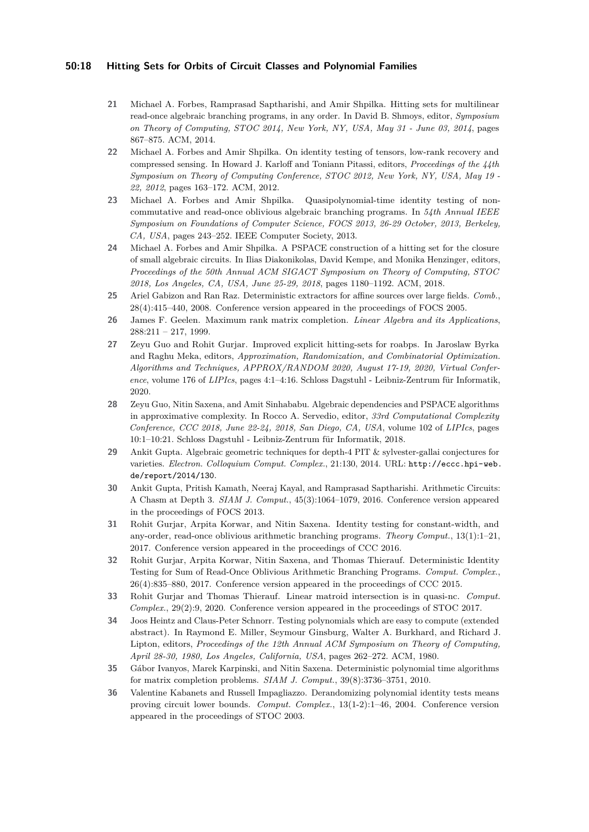#### **50:18 Hitting Sets for Orbits of Circuit Classes and Polynomial Families**

- <span id="page-17-5"></span>**21** Michael A. Forbes, Ramprasad Saptharishi, and Amir Shpilka. Hitting sets for multilinear read-once algebraic branching programs, in any order. In David B. Shmoys, editor, *Symposium on Theory of Computing, STOC 2014, New York, NY, USA, May 31 - June 03, 2014*, pages 867–875. ACM, 2014.
- <span id="page-17-12"></span>**22** Michael A. Forbes and Amir Shpilka. On identity testing of tensors, low-rank recovery and compressed sensing. In Howard J. Karloff and Toniann Pitassi, editors, *Proceedings of the 44th Symposium on Theory of Computing Conference, STOC 2012, New York, NY, USA, May 19 - 22, 2012*, pages 163–172. ACM, 2012.
- <span id="page-17-3"></span>**23** Michael A. Forbes and Amir Shpilka. Quasipolynomial-time identity testing of noncommutative and read-once oblivious algebraic branching programs. In *54th Annual IEEE Symposium on Foundations of Computer Science, FOCS 2013, 26-29 October, 2013, Berkeley, CA, USA*, pages 243–252. IEEE Computer Society, 2013.
- <span id="page-17-9"></span>**24** Michael A. Forbes and Amir Shpilka. A PSPACE construction of a hitting set for the closure of small algebraic circuits. In Ilias Diakonikolas, David Kempe, and Monika Henzinger, editors, *Proceedings of the 50th Annual ACM SIGACT Symposium on Theory of Computing, STOC 2018, Los Angeles, CA, USA, June 25-29, 2018*, pages 1180–1192. ACM, 2018.
- <span id="page-17-11"></span>**25** Ariel Gabizon and Ran Raz. Deterministic extractors for affine sources over large fields. *Comb.*, 28(4):415–440, 2008. Conference version appeared in the proceedings of FOCS 2005.
- <span id="page-17-14"></span>**26** James F. Geelen. Maximum rank matrix completion. *Linear Algebra and its Applications*,  $288:211 - 217, 1999.$
- <span id="page-17-7"></span>**27** Zeyu Guo and Rohit Gurjar. Improved explicit hitting-sets for roabps. In Jaroslaw Byrka and Raghu Meka, editors, *Approximation, Randomization, and Combinatorial Optimization. Algorithms and Techniques, APPROX/RANDOM 2020, August 17-19, 2020, Virtual Conference*, volume 176 of *LIPIcs*, pages 4:1–4:16. Schloss Dagstuhl - Leibniz-Zentrum für Informatik, 2020.
- <span id="page-17-10"></span>**28** Zeyu Guo, Nitin Saxena, and Amit Sinhababu. Algebraic dependencies and PSPACE algorithms in approximative complexity. In Rocco A. Servedio, editor, *33rd Computational Complexity Conference, CCC 2018, June 22-24, 2018, San Diego, CA, USA*, volume 102 of *LIPIcs*, pages 10:1–10:21. Schloss Dagstuhl - Leibniz-Zentrum für Informatik, 2018.
- <span id="page-17-13"></span>**29** Ankit Gupta. Algebraic geometric techniques for depth-4 PIT & sylvester-gallai conjectures for varieties. *Electron. Colloquium Comput. Complex.*, 21:130, 2014. URL: [http://eccc.hpi-web.](http://eccc.hpi-web.de/report/2014/130) [de/report/2014/130](http://eccc.hpi-web.de/report/2014/130).
- <span id="page-17-4"></span>**30** Ankit Gupta, Pritish Kamath, Neeraj Kayal, and Ramprasad Saptharishi. Arithmetic Circuits: A Chasm at Depth 3. *SIAM J. Comput.*, 45(3):1064–1079, 2016. Conference version appeared in the proceedings of FOCS 2013.
- <span id="page-17-8"></span>**31** Rohit Gurjar, Arpita Korwar, and Nitin Saxena. Identity testing for constant-width, and any-order, read-once oblivious arithmetic branching programs. *Theory Comput.*, 13(1):1–21, 2017. Conference version appeared in the proceedings of CCC 2016.
- <span id="page-17-6"></span>**32** Rohit Gurjar, Arpita Korwar, Nitin Saxena, and Thomas Thierauf. Deterministic Identity Testing for Sum of Read-Once Oblivious Arithmetic Branching Programs. *Comput. Complex.*, 26(4):835–880, 2017. Conference version appeared in the proceedings of CCC 2015.
- <span id="page-17-0"></span>**33** Rohit Gurjar and Thomas Thierauf. Linear matroid intersection is in quasi-nc. *Comput. Complex.*, 29(2):9, 2020. Conference version appeared in the proceedings of STOC 2017.
- <span id="page-17-1"></span>**34** Joos Heintz and Claus-Peter Schnorr. Testing polynomials which are easy to compute (extended abstract). In Raymond E. Miller, Seymour Ginsburg, Walter A. Burkhard, and Richard J. Lipton, editors, *Proceedings of the 12th Annual ACM Symposium on Theory of Computing, April 28-30, 1980, Los Angeles, California, USA*, pages 262–272. ACM, 1980.
- <span id="page-17-15"></span>**35** Gábor Ivanyos, Marek Karpinski, and Nitin Saxena. Deterministic polynomial time algorithms for matrix completion problems. *SIAM J. Comput.*, 39(8):3736–3751, 2010.
- <span id="page-17-2"></span>**36** Valentine Kabanets and Russell Impagliazzo. Derandomizing polynomial identity tests means proving circuit lower bounds. *Comput. Complex.*, 13(1-2):1–46, 2004. Conference version appeared in the proceedings of STOC 2003.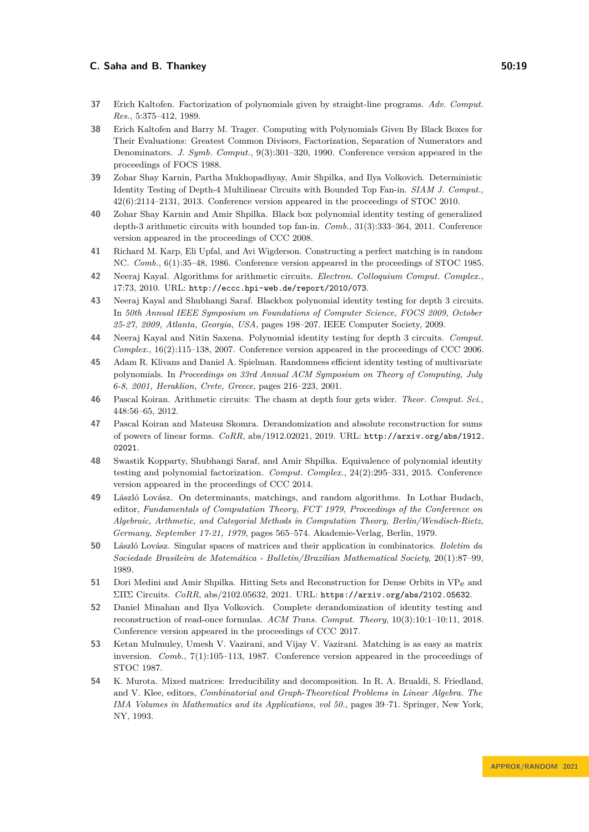- <span id="page-18-4"></span>**37** Erich Kaltofen. Factorization of polynomials given by straight-line programs. *Adv. Comput. Res.*, 5:375–412, 1989.
- <span id="page-18-5"></span>**38** Erich Kaltofen and Barry M. Trager. Computing with Polynomials Given By Black Boxes for Their Evaluations: Greatest Common Divisors, Factorization, Separation of Numerators and Denominators. *J. Symb. Comput.*, 9(3):301–320, 1990. Conference version appeared in the proceedings of FOCS 1988.
- <span id="page-18-8"></span>**39** Zohar Shay Karnin, Partha Mukhopadhyay, Amir Shpilka, and Ilya Volkovich. Deterministic Identity Testing of Depth-4 Multilinear Circuits with Bounded Top Fan-in. *SIAM J. Comput.*, 42(6):2114–2131, 2013. Conference version appeared in the proceedings of STOC 2010.
- <span id="page-18-14"></span>**40** Zohar Shay Karnin and Amir Shpilka. Black box polynomial identity testing of generalized depth-3 arithmetic circuits with bounded top fan-in. *Comb.*, 31(3):333–364, 2011. Conference version appeared in the proceedings of CCC 2008.
- <span id="page-18-0"></span>**41** Richard M. Karp, Eli Upfal, and Avi Wigderson. Constructing a perfect matching is in random NC. *Comb.*, 6(1):35–48, 1986. Conference version appeared in the proceedings of STOC 1985.
- <span id="page-18-16"></span>**42** Neeraj Kayal. Algorithms for arithmetic circuits. *Electron. Colloquium Comput. Complex.*, 17:73, 2010. URL: <http://eccc.hpi-web.de/report/2010/073>.
- <span id="page-18-15"></span>**43** Neeraj Kayal and Shubhangi Saraf. Blackbox polynomial identity testing for depth 3 circuits. In *50th Annual IEEE Symposium on Foundations of Computer Science, FOCS 2009, October 25-27, 2009, Atlanta, Georgia, USA*, pages 198–207. IEEE Computer Society, 2009.
- <span id="page-18-13"></span>**44** Neeraj Kayal and Nitin Saxena. Polynomial identity testing for depth 3 circuits. *Comput. Complex.*, 16(2):115–138, 2007. Conference version appeared in the proceedings of CCC 2006.
- <span id="page-18-11"></span>**45** Adam R. Klivans and Daniel A. Spielman. Randomness efficient identity testing of multivariate polynomials. In *Proceedings on 33rd Annual ACM Symposium on Theory of Computing, July 6-8, 2001, Heraklion, Crete, Greece*, pages 216–223, 2001.
- <span id="page-18-7"></span>**46** Pascal Koiran. Arithmetic circuits: The chasm at depth four gets wider. *Theor. Comput. Sci.*, 448:56–65, 2012.
- <span id="page-18-10"></span>**47** Pascal Koiran and Mateusz Skomra. Derandomization and absolute reconstruction for sums of powers of linear forms. *CoRR*, abs/1912.02021, 2019. URL: [http://arxiv.org/abs/1912.](http://arxiv.org/abs/1912.02021) [02021](http://arxiv.org/abs/1912.02021).
- <span id="page-18-6"></span>**48** Swastik Kopparty, Shubhangi Saraf, and Amir Shpilka. Equivalence of polynomial identity testing and polynomial factorization. *Comput. Complex.*, 24(2):295–331, 2015. Conference version appeared in the proceedings of CCC 2014.
- <span id="page-18-1"></span>**49** László Lovász. On determinants, matchings, and random algorithms. In Lothar Budach, editor, *Fundamentals of Computation Theory, FCT 1979, Proceedings of the Conference on Algebraic, Arthmetic, and Categorial Methods in Computation Theory, Berlin/Wendisch-Rietz, Germany, September 17-21, 1979*, pages 565–574. Akademie-Verlag, Berlin, 1979.
- <span id="page-18-17"></span>**50** László Lovász. Singular spaces of matrices and their application in combinatorics. *Boletim da Sociedade Brasileira de Matemática - Bulletin/Brazilian Mathematical Society*, 20(1):87–99, 1989.
- <span id="page-18-9"></span>**51** Dori Medini and Amir Shpilka. Hitting Sets and Reconstruction for Dense Orbits in VPe and ΣΠΣ Circuits. *CoRR*, abs/2102.05632, 2021. URL: <https://arxiv.org/abs/2102.05632>.
- <span id="page-18-12"></span>**52** Daniel Minahan and Ilya Volkovich. Complete derandomization of identity testing and reconstruction of read-once formulas. *ACM Trans. Comput. Theory*, 10(3):10:1–10:11, 2018. Conference version appeared in the proceedings of CCC 2017.
- <span id="page-18-2"></span>**53** Ketan Mulmuley, Umesh V. Vazirani, and Vijay V. Vazirani. Matching is as easy as matrix inversion. *Comb.*, 7(1):105–113, 1987. Conference version appeared in the proceedings of STOC 1987.
- <span id="page-18-3"></span>**54** K. Murota. Mixed matrices: Irreducibility and decomposition. In R. A. Brualdi, S. Friedland, and V. Klee, editors, *Combinatorial and Graph-Theoretical Problems in Linear Algebra. The IMA Volumes in Mathematics and its Applications, vol 50.*, pages 39–71. Springer, New York, NY, 1993.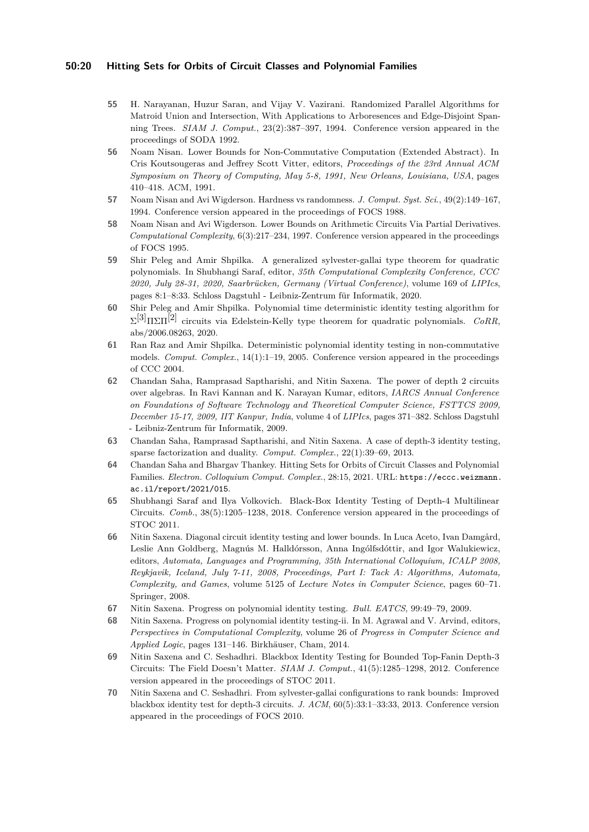#### **50:20 Hitting Sets for Orbits of Circuit Classes and Polynomial Families**

- <span id="page-19-0"></span>**55** H. Narayanan, Huzur Saran, and Vijay V. Vazirani. Randomized Parallel Algorithms for Matroid Union and Intersection, With Applications to Arboresences and Edge-Disjoint Spanning Trees. *SIAM J. Comput.*, 23(2):387–397, 1994. Conference version appeared in the proceedings of SODA 1992.
- <span id="page-19-4"></span>**56** Noam Nisan. Lower Bounds for Non-Commutative Computation (Extended Abstract). In Cris Koutsougeras and Jeffrey Scott Vitter, editors, *Proceedings of the 23rd Annual ACM Symposium on Theory of Computing, May 5-8, 1991, New Orleans, Louisiana, USA*, pages 410–418. ACM, 1991.
- <span id="page-19-1"></span>**57** Noam Nisan and Avi Wigderson. Hardness vs randomness. *J. Comput. Syst. Sci.*, 49(2):149–167, 1994. Conference version appeared in the proceedings of FOCS 1988.
- <span id="page-19-11"></span>**58** Noam Nisan and Avi Wigderson. Lower Bounds on Arithmetic Circuits Via Partial Derivatives. *Computational Complexity*, 6(3):217–234, 1997. Conference version appeared in the proceedings of FOCS 1995.
- <span id="page-19-12"></span>**59** Shir Peleg and Amir Shpilka. A generalized sylvester-gallai type theorem for quadratic polynomials. In Shubhangi Saraf, editor, *35th Computational Complexity Conference, CCC 2020, July 28-31, 2020, Saarbrücken, Germany (Virtual Conference)*, volume 169 of *LIPIcs*, pages 8:1–8:33. Schloss Dagstuhl - Leibniz-Zentrum für Informatik, 2020.
- <span id="page-19-13"></span>**60** Shir Peleg and Amir Shpilka. Polynomial time deterministic identity testing algorithm for  $\Sigma^{[3]}$ ΠΣΠ<sup>[2]</sup> circuits via Edelstein-Kelly type theorem for quadratic polynomials. *CoRR*, abs/2006.08263, 2020.
- <span id="page-19-2"></span>**61** Ran Raz and Amir Shpilka. Deterministic polynomial identity testing in non-commutative models. *Comput. Complex.*, 14(1):1–19, 2005. Conference version appeared in the proceedings of CCC 2004.
- <span id="page-19-8"></span>**62** Chandan Saha, Ramprasad Saptharishi, and Nitin Saxena. The power of depth 2 circuits over algebras. In Ravi Kannan and K. Narayan Kumar, editors, *IARCS Annual Conference on Foundations of Software Technology and Theoretical Computer Science, FSTTCS 2009, December 15-17, 2009, IIT Kanpur, India*, volume 4 of *LIPIcs*, pages 371–382. Schloss Dagstuhl - Leibniz-Zentrum für Informatik, 2009.
- <span id="page-19-6"></span>**63** Chandan Saha, Ramprasad Saptharishi, and Nitin Saxena. A case of depth-3 identity testing, sparse factorization and duality. *Comput. Complex.*, 22(1):39–69, 2013.
- <span id="page-19-3"></span>**64** Chandan Saha and Bhargav Thankey. Hitting Sets for Orbits of Circuit Classes and Polynomial Families. *Electron. Colloquium Comput. Complex.*, 28:15, 2021. URL: [https://eccc.weizmann.](https://eccc.weizmann.ac.il/report/2021/015) [ac.il/report/2021/015](https://eccc.weizmann.ac.il/report/2021/015).
- <span id="page-19-5"></span>**65** Shubhangi Saraf and Ilya Volkovich. Black-Box Identity Testing of Depth-4 Multilinear Circuits. *Comb.*, 38(5):1205–1238, 2018. Conference version appeared in the proceedings of STOC 2011.
- <span id="page-19-7"></span>**66** Nitin Saxena. Diagonal circuit identity testing and lower bounds. In Luca Aceto, Ivan Damgård, Leslie Ann Goldberg, Magnús M. Halldórsson, Anna Ingólfsdóttir, and Igor Walukiewicz, editors, *Automata, Languages and Programming, 35th International Colloquium, ICALP 2008, Reykjavik, Iceland, July 7-11, 2008, Proceedings, Part I: Tack A: Algorithms, Automata, Complexity, and Games*, volume 5125 of *Lecture Notes in Computer Science*, pages 60–71. Springer, 2008.
- <span id="page-19-14"></span>**67** Nitin Saxena. Progress on polynomial identity testing. *Bull. EATCS*, 99:49–79, 2009.
- <span id="page-19-15"></span>**68** Nitin Saxena. Progress on polynomial identity testing-ii. In M. Agrawal and V. Arvind, editors, *Perspectives in Computational Complexity*, volume 26 of *Progress in Computer Science and Applied Logic*, pages 131–146. Birkhäuser, Cham, 2014.
- <span id="page-19-10"></span>**69** Nitin Saxena and C. Seshadhri. Blackbox Identity Testing for Bounded Top-Fanin Depth-3 Circuits: The Field Doesn't Matter. *SIAM J. Comput.*, 41(5):1285–1298, 2012. Conference version appeared in the proceedings of STOC 2011.
- <span id="page-19-9"></span>**70** Nitin Saxena and C. Seshadhri. From sylvester-gallai configurations to rank bounds: Improved blackbox identity test for depth-3 circuits. *J. ACM*, 60(5):33:1–33:33, 2013. Conference version appeared in the proceedings of FOCS 2010.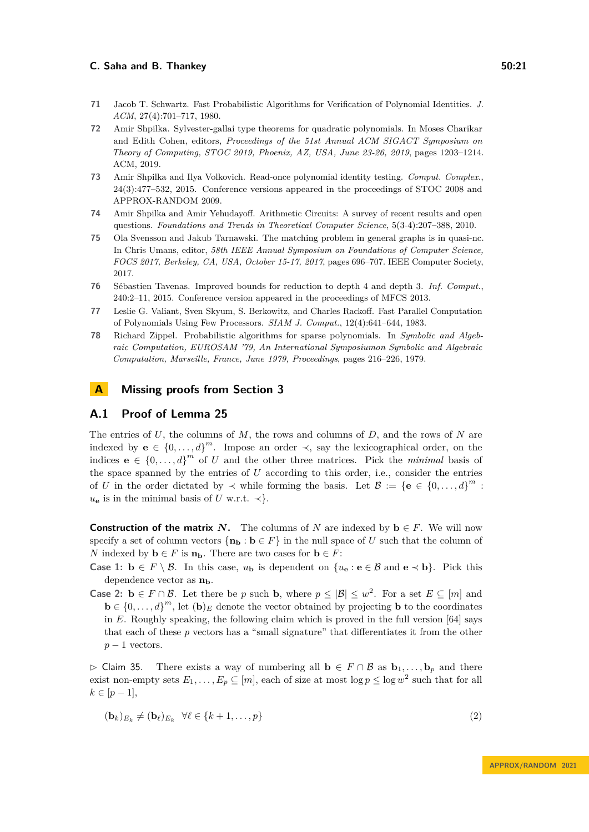- <span id="page-20-0"></span>**71** Jacob T. Schwartz. Fast Probabilistic Algorithms for Verification of Polynomial Identities. *J. ACM*, 27(4):701–717, 1980.
- <span id="page-20-6"></span>**72** Amir Shpilka. Sylvester-gallai type theorems for quadratic polynomials. In Moses Charikar and Edith Cohen, editors, *Proceedings of the 51st Annual ACM SIGACT Symposium on Theory of Computing, STOC 2019, Phoenix, AZ, USA, June 23-26, 2019*, pages 1203–1214. ACM, 2019.
- <span id="page-20-5"></span>**73** Amir Shpilka and Ilya Volkovich. Read-once polynomial identity testing. *Comput. Complex.*, 24(3):477–532, 2015. Conference versions appeared in the proceedings of STOC 2008 and APPROX-RANDOM 2009.
- <span id="page-20-7"></span>**74** Amir Shpilka and Amir Yehudayoff. Arithmetic Circuits: A survey of recent results and open questions. *Foundations and Trends in Theoretical Computer Science*, 5(3-4):207–388, 2010.
- <span id="page-20-2"></span>**75** Ola Svensson and Jakub Tarnawski. The matching problem in general graphs is in quasi-nc. In Chris Umans, editor, *58th IEEE Annual Symposium on Foundations of Computer Science, FOCS 2017, Berkeley, CA, USA, October 15-17, 2017*, pages 696–707. IEEE Computer Society, 2017.
- <span id="page-20-3"></span>**76** Sébastien Tavenas. Improved bounds for reduction to depth 4 and depth 3. *Inf. Comput.*, 240:2–11, 2015. Conference version appeared in the proceedings of MFCS 2013.
- <span id="page-20-4"></span>**77** Leslie G. Valiant, Sven Skyum, S. Berkowitz, and Charles Rackoff. Fast Parallel Computation of Polynomials Using Few Processors. *SIAM J. Comput.*, 12(4):641–644, 1983.
- <span id="page-20-1"></span>**78** Richard Zippel. Probabilistic algorithms for sparse polynomials. In *Symbolic and Algebraic Computation, EUROSAM '79, An International Symposiumon Symbolic and Algebraic Computation, Marseille, France, June 1979, Proceedings*, pages 216–226, 1979.

### <span id="page-20-8"></span>**A Missing proofs from Section [3](#page-9-1)**

### **A.1 Proof of Lemma [25](#page-11-3)**

The entries of *U*, the columns of *M*, the rows and columns of *D*, and the rows of *N* are indexed by **e** ∈  $\{0, \ldots, d\}^m$ . Impose an order  $\prec$ , say the lexicographical order, on the indices  $\mathbf{e} \in \{0, \ldots, d\}^m$  of *U* and the other three matrices. Pick the *minimal* basis of the space spanned by the entries of *U* according to this order, i.e., consider the entries of *U* in the order dictated by  $\prec$  while forming the basis. Let  $\mathcal{B} := {\mathbf{e} \in \{0, ..., d\}}^m$ :  $u_{\mathbf{e}}$  is in the minimal basis of *U* w.r.t.  $\prec$ }.

**Construction of the matrix**  $N$ **.** The columns of  $N$  are indexed by  $\mathbf{b} \in F$ . We will now specify a set of column vectors  $\{\mathbf{n}_b : \mathbf{b} \in F\}$  in the null space of *U* such that the column of *N* indexed by  $\mathbf{b} \in F$  is  $\mathbf{n}_\mathbf{b}$ . There are two cases for  $\mathbf{b} \in F$ :

- **Case 1: b** ∈ *F* \ *B*. In this case, *u***b** is dependent on  $\{u_e : e \in B \text{ and } e \prec b\}$ . Pick this dependence vector as **nb**.
- **Case 2: b** ∈ *F* ∩ *B*. Let there be *p* such **b**, where  $p ≤ |B| ≤ w^2$ . For a set  $E ⊆ [m]$  and  $\mathbf{b} \in \{0, \ldots, d\}^m$ , let  $(\mathbf{b})_E$  denote the vector obtained by projecting **b** to the coordinates in *E*. Roughly speaking, the following claim which is proved in the full version [\[64\]](#page-19-3) says that each of these *p* vectors has a "small signature" that differentiates it from the other  $p-1$  vectors.

 $\triangleright$  Claim 35. There exists a way of numbering all **b** ∈ *F* ∩ *B* as **b**<sub>1</sub>, ..., **b**<sub>*p*</sub> and there exist non-empty sets  $E_1, \ldots, E_p \subseteq [m]$ , each of size at most  $\log p \le \log w^2$  such that for all  $k \in [p-1],$ 

$$
(\mathbf{b}_k)_{E_k} \neq (\mathbf{b}_\ell)_{E_k} \quad \forall \ell \in \{k+1, \dots, p\}
$$
\n
$$
(2)
$$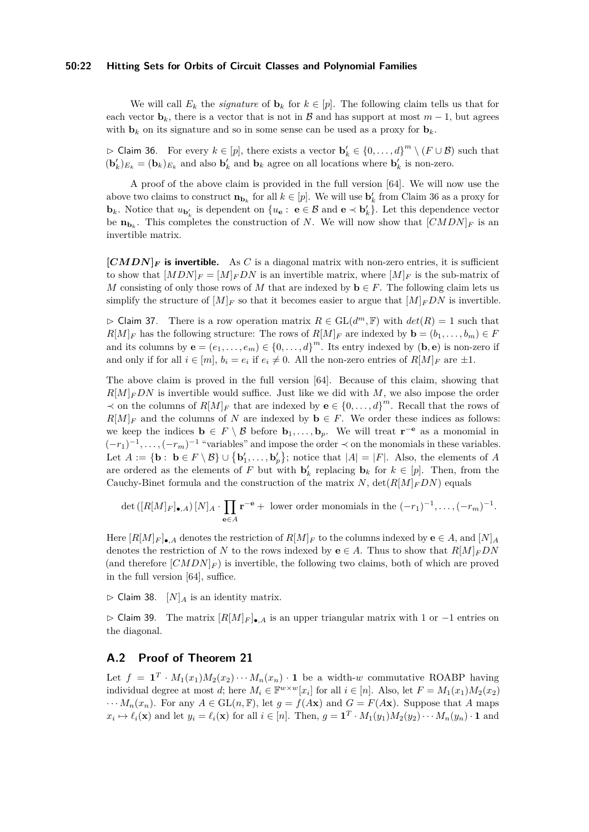#### **50:22 Hitting Sets for Orbits of Circuit Classes and Polynomial Families**

We will call  $E_k$  the *signature* of  $\mathbf{b}_k$  for  $k \in [p]$ . The following claim tells us that for each vector  $\mathbf{b}_k$ , there is a vector that is not in B and has support at most  $m-1$ , but agrees with  $\mathbf{b}_k$  on its signature and so in some sense can be used as a proxy for  $\mathbf{b}_k$ .

<span id="page-21-0"></span> $\rhd$  Claim 36. For every  $k \in [p]$ , there exists a vector  $\mathbf{b}'_k \in \{0, ..., d\}^m \setminus (F \cup \mathcal{B})$  such that  $(b'_k)_{E_k} = (b_k)_{E_k}$  and also  $b'_k$  and  $b_k$  agree on all locations where  $b'_k$  is non-zero.

A proof of the above claim is provided in the full version [\[64\]](#page-19-3). We will now use the above two claims to construct  $\mathbf{n}_{\mathbf{b}_k}$  for all  $k \in [p]$ . We will use  $\mathbf{b}'_k$  from Claim [36](#page-21-0) as a proxy for **b**<sub>*k*</sub>. Notice that  $u_{\mathbf{b}'_k}$  is dependent on  $\{u_{\mathbf{e}} : \mathbf{e} \in \mathcal{B} \text{ and } \mathbf{e} \prec \mathbf{b}'_k\}$ . Let this dependence vector be  $\mathbf{n}_{\mathbf{b}_k}$ . This completes the construction of *N*. We will now show that  $[CMDN]_F$  is an invertible matrix.

 $[CMDN]$ **F** is invertible. As C is a diagonal matrix with non-zero entries, it is sufficient to show that  $[MDN]_F = [M]_F DN$  is an invertible matrix, where  $[M]_F$  is the sub-matrix of *M* consisting of only those rows of *M* that are indexed by  $\mathbf{b} \in F$ . The following claim lets us simplify the structure of  $[M]_F$  so that it becomes easier to argue that  $[M]_F DN$  is invertible.

 $\triangleright$  Claim 37. There is a row operation matrix  $R \in GL(d^m, \mathbb{F})$  with  $det(R) = 1$  such that  $R[M]_F$  has the following structure: The rows of  $R[M]_F$  are indexed by  $\mathbf{b} = (b_1, \ldots, b_m) \in F$ and its columns by  $\mathbf{e} = (e_1, \ldots, e_m) \in \{0, \ldots, d\}^m$ . Its entry indexed by  $(\mathbf{b}, \mathbf{e})$  is non-zero if and only if for all  $i \in [m]$ ,  $b_i = e_i$  if  $e_i \neq 0$ . All the non-zero entries of  $R[M]_F$  are  $\pm 1$ .

The above claim is proved in the full version [\[64\]](#page-19-3). Because of this claim, showing that  $R[M]_FDN$  is invertible would suffice. Just like we did with M, we also impose the order ≺ on the columns of  $R[M]_F$  that are indexed by **e** ∈ {0, ..., d}<sup>*m*</sup>. Recall that the rows of  $R[M]_F$  and the columns of *N* are indexed by **b** ∈ *F*. We order these indices as follows: we keep the indices  $\mathbf{b} \in F \setminus \mathcal{B}$  before  $\mathbf{b}_1, \ldots, \mathbf{b}_p$ . We will treat  $\mathbf{r}^{-\mathbf{e}}$  as a monomial in  $(-r_1)^{-1}, \ldots, (-r_m)^{-1}$  "variables" and impose the order  $\prec$  on the monomials in these variables. Let  $A := \{ \mathbf{b} : \mathbf{b} \in F \setminus \mathcal{B} \} \cup \{ \mathbf{b}'_1, \ldots, \mathbf{b}'_p \}$ ; notice that  $|A| = |F|$ . Also, the elements of *A* are ordered as the elements of *F* but with  $\mathbf{b}'_k$  replacing  $\mathbf{b}_k$  for  $k \in [p]$ . Then, from the Cauchy-Binet formula and the construction of the matrix *N*,  $\det(R[M]_FDN)$  equals

$$
\det\left(\left[R[M]_F\right]_{\bullet,A}\right)[N]_A\cdot\prod_{\mathbf{e}\in A}\mathbf{r}^{-\mathbf{e}}+\text{ lower order monomials in the }(-r_1)^{-1},\ldots,(-r_m)^{-1}.
$$

Here  $[R[M]_F]_{\bullet, A}$  denotes the restriction of  $R[M]_F$  to the columns indexed by  $e \in A$ , and  $[N]_A$ denotes the restriction of *N* to the rows indexed by **e**  $\in$  *A*. Thus to show that  $R[M]_FDN$ (and therefore  $[CMDN]_F$ ) is invertible, the following two claims, both of which are proved in the full version [\[64\]](#page-19-3), suffice.

<span id="page-21-1"></span> $\triangleright$  Claim 38.  $[N]_A$  is an identity matrix.

▷ Claim 39. The matrix [*R*[*M*]*<sup>F</sup>* ]•*,A* is an upper triangular matrix with 1 or −1 entries on the diagonal.

# **A.2 Proof of Theorem [21](#page-10-1)**

Let  $f = \mathbf{1}^T \cdot M_1(x_1)M_2(x_2)\cdots M_n(x_n) \cdot \mathbf{1}$  be a width-*w* commutative ROABP having individual degree at most *d*; here  $M_i \in \mathbb{F}^{w \times w}[x_i]$  for all  $i \in [n]$ . Also, let  $F = M_1(x_1)M_2(x_2)$  $\cdots M_n(x_n)$ . For any  $A \in GL(n, \mathbb{F})$ , let  $g = f(Ax)$  and  $G = F(Ax)$ . Suppose that A maps  $x_i \mapsto \ell_i(\mathbf{x})$  and let  $y_i = \ell_i(\mathbf{x})$  for all  $i \in [n]$ . Then,  $g = \mathbf{1}^T \cdot M_1(y_1) M_2(y_2) \cdots M_n(y_n) \cdot \mathbf{1}$  and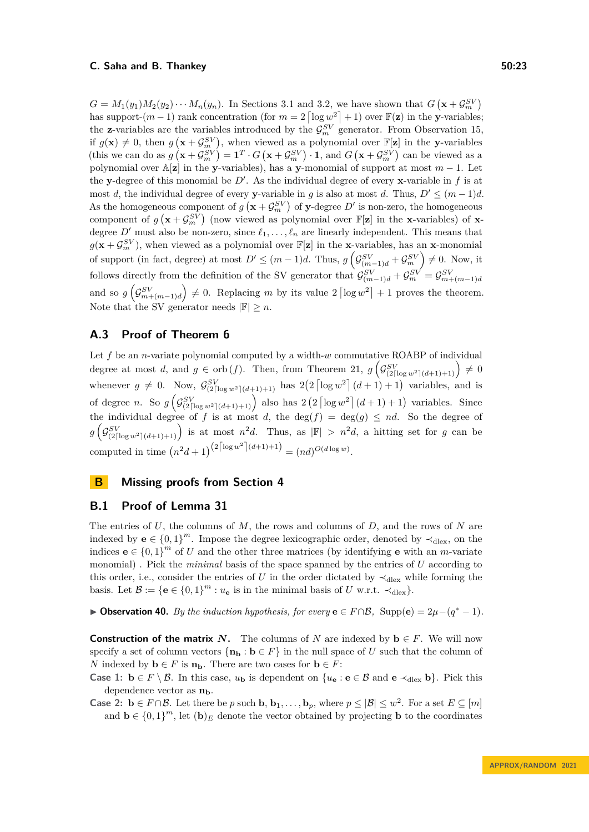$G = M_1(y_1)M_2(y_2)\cdots M_n(y_n)$ . In Sections [3.1](#page-10-2) and [3.2,](#page-11-0) we have shown that  $G(\mathbf{x} + \mathcal{G}_m^{SV})$ has support- $(m-1)$  rank concentration (for  $m = 2 \left[ \log w^2 \right] + 1$ ) over  $\mathbb{F}(\mathbf{z})$  in the **y**-variables; the **z**-variables are the variables introduced by the  $\mathcal{G}_m^{SV}$  generator. From Observation [15,](#page-8-2) if  $g(\mathbf{x}) \neq 0$ , then  $g(\mathbf{x} + \mathcal{G}_m^{SV})$ , when viewed as a polynomial over  $\mathbb{F}[\mathbf{z}]$  in the **y**-variables (this we can do as  $g\left(\mathbf{x} + \mathcal{G}_m^{SV}\right) = \mathbf{1}^T \cdot G\left(\mathbf{x} + \mathcal{G}_m^{SV}\right) \cdot \mathbf{1}$ , and  $G\left(\mathbf{x} + \mathcal{G}_m^{SV}\right)$  can be viewed as a polynomial over  $\mathbb{A}[\mathbf{z}]$  in the **y**-variables), has a **y**-monomial of support at most  $m-1$ . Let the **y**-degree of this monomial be  $D'$ . As the individual degree of every **x**-variable in  $f$  is at most *d*, the individual degree of every **y**-variable in *g* is also at most *d*. Thus,  $D' \leq (m-1)d$ . As the homogeneous component of  $g\left(\mathbf{x} + \mathcal{G}_m^{SV}\right)$  of y-degree  $D'$  is non-zero, the homogeneous component of  $g\left(\mathbf{x} + \mathcal{G}_m^{\mathcal{SV}}\right)$  (now viewed as polynomial over  $\mathbb{F}[\mathbf{z}]$  in the **x**-variables) of **x**degree  $D'$  must also be non-zero, since  $\ell_1, \ldots, \ell_n$  are linearly independent. This means that  $g(\mathbf{x} + \mathcal{G}_m^{SV})$ , when viewed as a polynomial over  $\mathbb{F}[\mathbf{z}]$  in the **x**-variables, has an **x**-monomial of support (in fact, degree) at most  $D' \leq (m-1)d$ . Thus,  $g\left(\mathcal{G}_{(m-1)d}^{SV} + \mathcal{G}_m^{SV}\right) \neq 0$ . Now, it follows directly from the definition of the SV generator that  $\mathcal{G}_{(m-1)d}^{SV} + \mathcal{G}_m^{SV} = \mathcal{G}_{m+(m-1)d}^{SV}$ and so  $g\left(\mathcal{G}_{m+(m-1)d}^{SV}\right) \neq 0$ . Replacing *m* by its value  $2\left\lceil \log w^2 \right\rceil + 1$  proves the theorem. Note that the SV generator needs  $|\mathbb{F}| \geq n$ .

# **A.3 Proof of Theorem [6](#page-3-0)**

Let *f* be an *n*-variate polynomial computed by a width-*w* commutative ROABP of individual degree at most *d*, and  $g \in \text{orb}(f)$ . Then, from Theorem [21,](#page-10-1)  $g\left(\mathcal{G}_{(2\lceil \log w^2 \rceil (d+1)+1)}^{SV}\right) \neq 0$ whenever  $g \neq 0$ . Now,  $\mathcal{G}_{(2\lceil \log w^2 \rceil (d+1)+1)}^{SV}$  has  $2(2 \lceil \log w^2 \rceil (d+1)+1)$  variables, and is of degree *n*. So  $g\left(\mathcal{G}_{(2\lceil \log w^2 \rceil (d+1)+1)}^{SV}\right)$  also has  $2(2 \lceil \log w^2 \rceil (d+1)+1)$  variables. Since the individual degree of f is at most d, the deg( $f$ ) = deg( $g$ )  $\leq nd$ . So the degree of  $g\left(\mathcal{G}_{(2\lceil \log w^2 \rceil (d+1)+1)}^{SV} \right)$  is at most  $n^2d$ . Thus, as  $|\mathbb{F}| > n^2d$ , a hitting set for *g* can be computed in time  $(n^2d+1)^{(2\lceil \log w^2 \rceil (d+1)+1)} = (nd)^{O(d \log w)}$ .

# <span id="page-22-0"></span>**B Missing proofs from Section [4](#page-12-1)**

# **B.1 Proof of Lemma [31](#page-14-1)**

The entries of *U*, the columns of *M*, the rows and columns of *D*, and the rows of *N* are indexed by **e**  $\in \{0,1\}^m$ . Impose the degree lexicographic order, denoted by  $\prec_{\text{dlex}}$ , on the indices  $\mathbf{e} \in \{0,1\}^m$  of *U* and the other three matrices (by identifying **e** with an *m*-variate monomial) . Pick the *minimal* basis of the space spanned by the entries of *U* according to this order, i.e., consider the entries of *U* in the order dictated by  $\prec_{\text{dlex}}$  while forming the basis. Let  $\mathcal{B} := \{e \in \{0,1\}^m : u_e \text{ is in the minimal basis of } U \text{ w.r.t. } \prec_{\text{dlex}}\}.$ 

▶ **Observation 40.** *By the induction hypothesis, for every*  $\mathbf{e} \in F \cap \mathcal{B}$ *,* Supp $(\mathbf{e}) = 2\mu - (q^* - 1)$ *.* 

**Construction of the matrix** *N*. The columns of *N* are indexed by  $\mathbf{b} \in F$ . We will now specify a set of column vectors  $\{\mathbf{n}_\mathbf{b} : \mathbf{b} \in F\}$  in the null space of *U* such that the column of *N* indexed by  $\mathbf{b} \in F$  is  $\mathbf{n}_\mathbf{b}$ . There are two cases for  $\mathbf{b} \in F$ :

**Case 1: b** ∈ *F* \ B. In this case,  $u_{\bf{b}}$  is dependent on  $\{u_{\bf{e}} : {\bf{e}} \in B \text{ and } {\bf{e}} \prec_{\text{dlex}} {\bf{b}}\}.$  Pick this dependence vector as **nb**.

**Case 2: b** ∈ *F* ∩*B*. Let there be *p* such **b**, **b**<sub>1</sub>, . . . , **b**<sub>*p*</sub>, where  $p ≤ |B| ≤ w^2$ . For a set  $E ⊆ [m]$ and  $\mathbf{b} \in \{0,1\}^m$ , let  $(\mathbf{b})_E$  denote the vector obtained by projecting **b** to the coordinates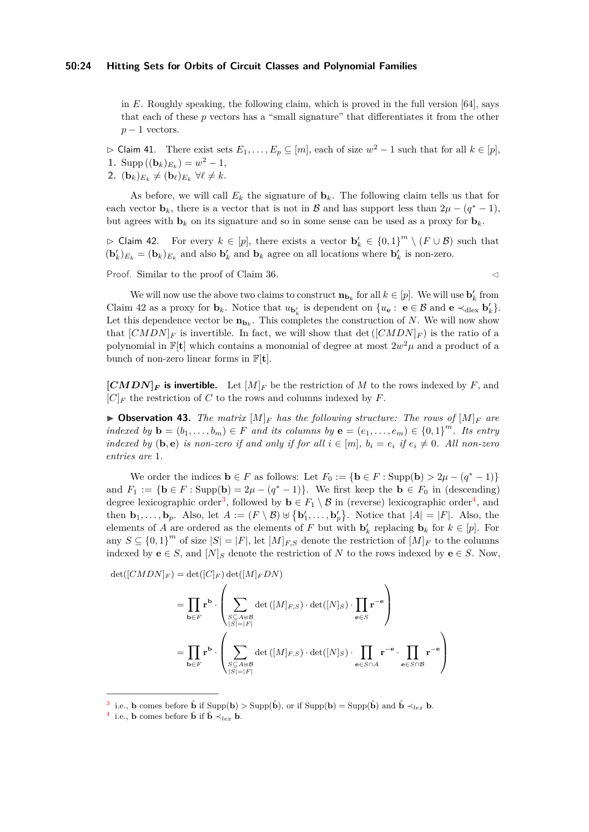#### **50:24 Hitting Sets for Orbits of Circuit Classes and Polynomial Families**

in *E*. Roughly speaking, the following claim, which is proved in the full version [\[64\]](#page-19-3), says that each of these *p* vectors has a "small signature" that differentiates it from the other  $p-1$  vectors.

 $\rhd$  Claim 41. There exist sets  $E_1, \ldots, E_p$  ⊆ [*m*], each of size  $w^2 - 1$  such that for all  $k \in [p]$ , 1. Supp  $((\mathbf{b}_k)_{E_k}) = w^2 - 1$ , **2.**  $(\mathbf{b}_k)_{E_k} \neq (\mathbf{b}_\ell)_{E_k} \ \forall \ell \neq k.$ 

As before, we will call  $E_k$  the signature of  $\mathbf{b}_k$ . The following claim tells us that for each vector **b**<sub>*k*</sub>, there is a vector that is not in B and has support less than  $2\mu - (q^* - 1)$ , but agrees with  $\mathbf{b}_k$  on its signature and so in some sense can be used as a proxy for  $\mathbf{b}_k$ .

<span id="page-23-0"></span> $\rhd$  Claim 42. For every  $k \in [p]$ , there exists a vector  $\mathbf{b}'_k \in \{0,1\}^m \setminus (F \cup \mathcal{B})$  such that  $(b'_k)_{E_k} = (b_k)_{E_k}$  and also  $b'_k$  and  $b_k$  agree on all locations where  $b'_k$  is non-zero.

Proof. Similar to the proof of Claim [36.](#page-21-0) ◯

We will now use the above two claims to construct  $\mathbf{n}_{\mathbf{b}_k}$  for all  $k \in [p]$ . We will use  $\mathbf{b}'_k$  from Claim [42](#page-23-0) as a proxy for  $\mathbf{b}_k$ . Notice that  $u_{\mathbf{b}'_k}$  is dependent on  $\{u_{\mathbf{e}}: \mathbf{e} \in \mathcal{B} \text{ and } \mathbf{e} \prec_{\text{dlex}} \mathbf{b}'_k\}.$ Let this dependence vector be  $\mathbf{n}_{\mathbf{b}_k}$ . This completes the construction of *N*. We will now show that  $[CMD]_F$  is invertible. In fact, we will show that  $\det([CMD]_F)$  is the ratio of a polynomial in  $\mathbb{F}[\mathbf{t}]$  which contains a monomial of degree at most  $2w^2\mu$  and a product of a bunch of non-zero linear forms in F[**t**].

 $[CMDN]_F$  is invertible. Let  $[M]_F$  be the restriction of M to the rows indexed by F, and  $[C]_F$  the restriction of *C* to the rows and columns indexed by *F*.

 $\triangleright$  **Observation 43.** The matrix  $[M]_F$  has the following structure: The rows of  $[M]_F$  are *indexed by*  $\mathbf{b} = (b_1, \ldots, b_m) \in F$  *and its columns by*  $\mathbf{e} = (e_1, \ldots, e_m) \in \{0, 1\}^m$ *. Its entry indexed by* (**b***,* **e**) *is non-zero if and only if for all*  $i \in [m]$ ,  $b_i = e_i$  *if*  $e_i \neq 0$ *. All non-zero entries are* 1*.*

We order the indices  $\mathbf{b} \in F$  as follows: Let  $F_0 := {\mathbf{b} \in F : \text{Supp}(\mathbf{b}) > 2\mu - (q^* - 1)}$ and  $F_1 := \{ \mathbf{b} \in F : \text{Supp}(\mathbf{b}) = 2\mu - (q^* - 1) \}.$  We first keep the  $\mathbf{b} \in F_0$  in (descending) degree lexicographic order<sup>[3](#page-23-1)</sup>, followed by  $\mathbf{b} \in F_1 \setminus \mathcal{B}$  in (reverse) lexicographic order<sup>[4](#page-23-2)</sup>, and then  $\mathbf{b}_1, \ldots, \mathbf{b}_p$ . Also, let  $A := (F \setminus \mathcal{B}) \cup \{\mathbf{b}'_1, \ldots, \mathbf{b}'_p\}$ . Notice that  $|A| = |F|$ . Also, the elements of *A* are ordered as the elements of *F* but with  $\mathbf{b}'_k$  replacing  $\mathbf{b}_k$  for  $k \in [p]$ . For any  $S \subseteq \{0,1\}^m$  of size  $|S| = |F|$ , let  $[M]_{F,S}$  denote the restriction of  $[M]_F$  to the columns indexed by **e**  $\in$  *S*, and  $[N]$ <sub>*S*</sub> denote the restriction of *N* to the rows indexed by **e**  $\in$  *S*. Now,

 $det([CMDN]_F) = det([C]_F) det([M]_F DN)$ 

$$
= \prod_{\mathbf{b}\in F} \mathbf{r}^{\mathbf{b}} \cdot \left(\sum_{\substack{S\subseteq A\uplus\mathcal{B}\\|S|=|F|}} \det([M]_{F,S}) \cdot \det([N]_{S}) \cdot \prod_{\mathbf{e}\in S} \mathbf{r}^{-\mathbf{e}}\right)
$$
  

$$
= \prod_{\mathbf{b}\in F} \mathbf{r}^{\mathbf{b}} \cdot \left(\sum_{\substack{S\subseteq A\uplus\mathcal{B}\\|S|=|F|}} \det([M]_{F,S}) \cdot \det([N]_{S}) \cdot \prod_{\mathbf{e}\in S\cap A} \mathbf{r}^{-\mathbf{e}} \cdot \prod_{\mathbf{e}\in S\cap B} \mathbf{r}^{-\mathbf{e}}\right)
$$

<span id="page-23-1"></span><sup>&</sup>lt;sup>3</sup> i.e., **b** comes before  $\hat{\mathbf{b}}$  if Supp $(\mathbf{b}) > \text{Supp}(\hat{\mathbf{b}})$ , or if Supp $(\mathbf{b}) = \text{Supp}(\hat{\mathbf{b}})$  and  $\hat{\mathbf{b}} \prec_{lex} \mathbf{b}$ .

<span id="page-23-2"></span><sup>&</sup>lt;sup>4</sup> i.e., **b** comes before  $\hat{\mathbf{b}}$  if  $\hat{\mathbf{b}} \prec_{lex} \mathbf{b}$ .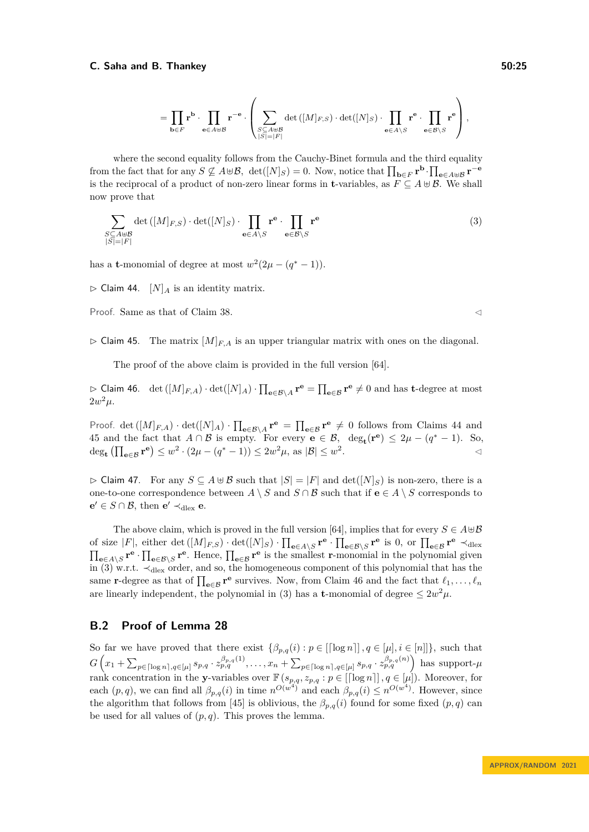$$
= \prod_{\mathbf{b}\in F} \mathbf{r}^{\mathbf{b}} \cdot \prod_{\mathbf{e}\in A\uplus \mathcal{B}} \mathbf{r}^{-\mathbf{e}} \cdot \left(\sum_{\substack{S\subseteq A\uplus \mathcal{B}\\|S|=|F|}} \det\left([M]_{F,S}\right)\cdot \det([N]_{S}) \cdot \prod_{\mathbf{e}\in A\setminus S} \mathbf{r}^{\mathbf{e}} \cdot \prod_{\mathbf{e}\in \mathcal{B}\setminus S} \mathbf{r}^{\mathbf{e}}\right),
$$

where the second equality follows from the Cauchy-Binet formula and the third equality from the fact that for any  $S \not\subseteq A \cup B$ ,  $\det([N]_S) = 0$ . Now, notice that  $\prod_{\mathbf{b} \in F} \mathbf{r}^{\mathbf{b}} \cdot \prod_{\mathbf{e} \in A \cup B} \mathbf{r}^{-\mathbf{e}}$ is the reciprocal of a product of non-zero linear forms in **t**-variables, as  $F \subseteq A \cup B$ . We shall now prove that

<span id="page-24-2"></span>
$$
\sum_{\substack{S \subseteq A \uplus \mathcal{B} \\ |S| = |F|}} \det\left([M]_{F,S}\right) \cdot \det([N]_S) \cdot \prod_{\mathbf{e} \in A \setminus S} \mathbf{r}^{\mathbf{e}} \cdot \prod_{\mathbf{e} \in \mathcal{B} \setminus S} \mathbf{r}^{\mathbf{e}} \tag{3}
$$

<span id="page-24-0"></span>has a **t**-monomial of degree at most  $w^2(2\mu - (q^* - 1))$ .

 $\triangleright$  Claim 44.  $[N]_A$  is an identity matrix.

Proof. Same as that of Claim [38.](#page-21-1) ◯

<span id="page-24-1"></span> $\triangleright$  Claim 45. The matrix  $[M]_{F,A}$  is an upper triangular matrix with ones on the diagonal.

The proof of the above claim is provided in the full version [\[64\]](#page-19-3).

<span id="page-24-3"></span> $\triangleright$  Claim 46. det ( $[M]_{F,A}$ ) ⋅ det( $[N]_A$ ) ⋅  $\prod_{e \in \mathcal{B}\setminus A} \mathbf{r}^e = \prod_{e \in \mathcal{B}} \mathbf{r}^e \neq 0$  and has **t**-degree at most  $2w^2\mu$ .

Proof. det  $([M]_{F,A}) \cdot det([N]_A) \cdot \prod_{e \in \mathcal{B} \setminus A} \mathbf{r}^e = \prod_{e \in \mathcal{B}} \mathbf{r}^e \neq 0$  follows from Claims [44](#page-24-0) and [45](#page-24-1) and the fact that  $A \cap B$  is empty. For every  $e \in B$ ,  $\deg_{t}(r^{e}) \leq 2\mu - (q^{*} - 1)$ . So,  $\deg_{\mathbf{t}} \left( \prod_{\mathbf{e} \in \mathcal{B}} \mathbf{r}^{\mathbf{e}} \right) \leq w^2 \cdot (2\mu - (q^* - 1)) \leq 2w^2\mu$ , as  $|\mathcal{B}| \leq w^2$  $\mathcal{A}$ 

 $\rhd$  Claim 47. For any  $S \subseteq A \oplus B$  such that  $|S| = |F|$  and  $\det([N]_S)$  is non-zero, there is a one-to-one correspondence between *A*  $\setminus$  *S* and *S* ∩ *B* such that if **e** ∈ *A*  $\setminus$  *S* corresponds to **e**<sup> $′$ </sup> ∈ *S* ∩ *B*, then **e**<sup> $′$ </sup> ≺<sub>dlex</sub> **e**.

The above claim, which is proved in the full version [\[64\]](#page-19-3), implies that for every  $S \in A \cup B$ of size  $|F|$ , either det  $([M]_{F,S}) \cdot \det([N]_S) \cdot \prod_{e \in A \setminus S} \mathbf{r}^e \cdot \prod_{e \in \mathcal{B} \setminus S} \mathbf{r}^e$  is 0, or  $\prod_{e \in \mathcal{B}} \mathbf{r}^e \prec_{\text{dlex}}$  $\prod_{e \in A \setminus S} \mathbf{r}^e \cdot \prod_{e \in \mathcal{B} \setminus S} \mathbf{r}^e$ . Hence,  $\prod_{e \in \mathcal{B}} \mathbf{r}^e$  is the smallest **r**-monomial in the polynomial given in [\(3\)](#page-24-2) w.r.t. ≺dlex order, and so, the homogeneous component of this polynomial that has the same **r**-degree as that of  $\prod_{e \in \mathcal{B}} \mathbf{r}^e$  survives. Now, from Claim [46](#page-24-3) and the fact that  $\ell_1, \ldots, \ell_n$ are linearly independent, the polynomial in [\(3\)](#page-24-2) has a **t**-monomial of degree  $\leq 2w^2\mu$ .

# **B.2 Proof of Lemma [28](#page-12-0)**

So far we have proved that there exist  $\{\beta_{p,q}(i) : p \in [[\log n]], q \in [\mu], i \in [n]]\}$ , such that  $G\left(x_1 + \sum_{p \in \lceil \log n \rceil, q \in [\mu]} s_{p,q} \cdot z_{p,q}^{\beta_{p,q}(1)}, \ldots, x_n + \sum_{p \in \lceil \log n \rceil, q \in [\mu]} s_{p,q} \cdot z_{p,q}^{\beta_{p,q}(n)}\right)$  has support- $\mu$ rank concentration in the **y**-variables over  $\mathbb{F}(s_{p,q}, z_{p,q}: p \in [\lceil \log n \rceil], q \in [\mu])$ . Moreover, for each  $(p, q)$ , we can find all  $\beta_{p,q}(i)$  in time  $n^{O(w^4)}$  and each  $\beta_{p,q}(i) \leq n^{O(w^4)}$ . However, since the algorithm that follows from [\[45\]](#page-18-11) is oblivious, the  $\beta_{p,q}(i)$  found for some fixed  $(p,q)$  can be used for all values of  $(p, q)$ . This proves the lemma.